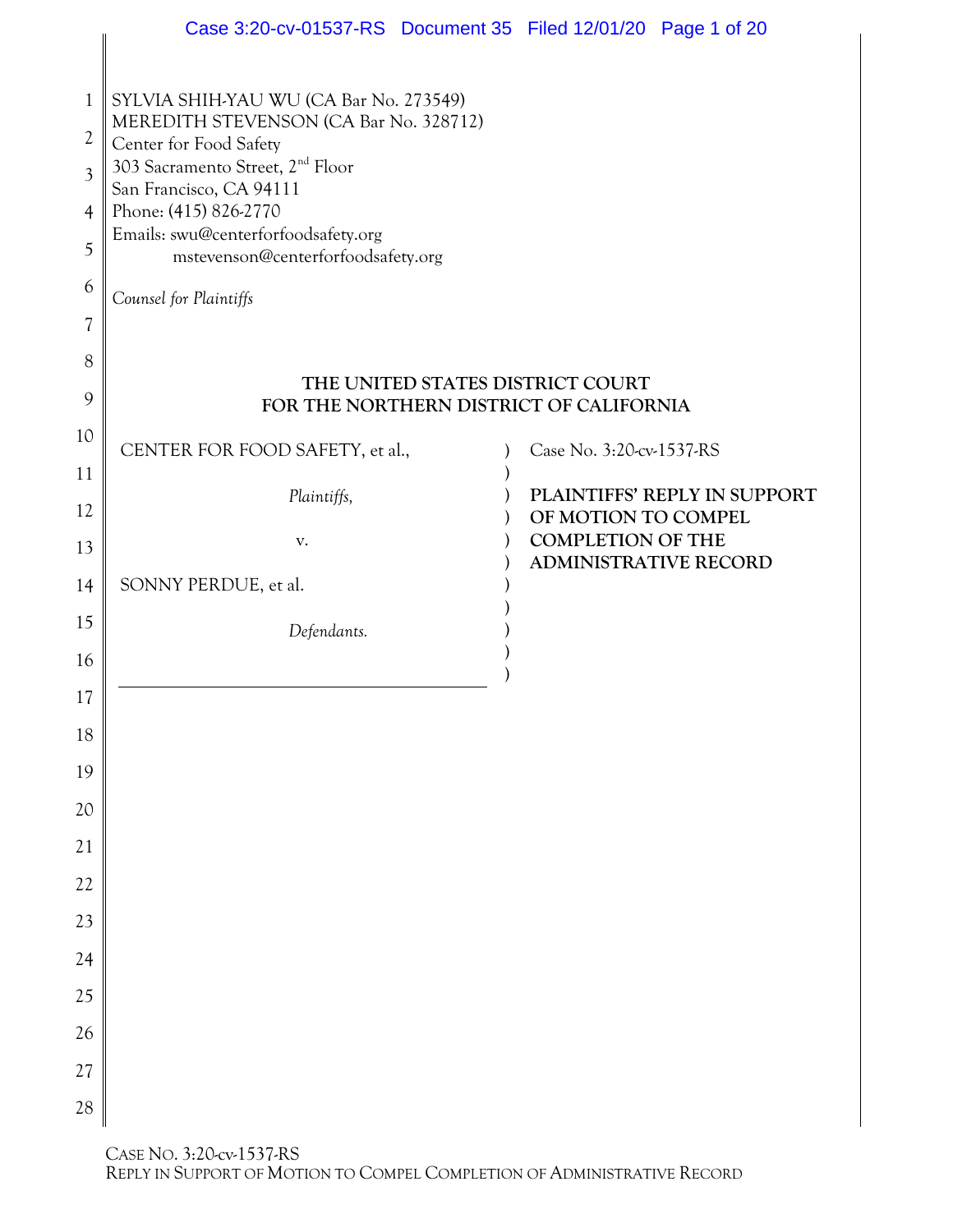|                          | Case 3:20-cv-01537-RS Document 35 Filed 12/01/20 Page 1 of 20                    |                                                          |                              |
|--------------------------|----------------------------------------------------------------------------------|----------------------------------------------------------|------------------------------|
|                          |                                                                                  |                                                          |                              |
| 1                        | SYLVIA SHIH-YAU WU (CA Bar No. 273549)<br>MEREDITH STEVENSON (CA Bar No. 328712) |                                                          |                              |
| 2                        | Center for Food Safety                                                           |                                                          |                              |
| 3                        | 303 Sacramento Street, 2 <sup>nd</sup> Floor<br>San Francisco, CA 94111          |                                                          |                              |
| 4                        | Phone: (415) 826-2770<br>Emails: swu@centerforfoodsafety.org                     |                                                          |                              |
| 5                        | mstevenson@centerforfoodsafety.org                                               |                                                          |                              |
| 6                        | Counsel for Plaintiffs                                                           |                                                          |                              |
| $\overline{\mathcal{U}}$ |                                                                                  |                                                          |                              |
| 8                        |                                                                                  | THE UNITED STATES DISTRICT COURT                         |                              |
| 9                        | FOR THE NORTHERN DISTRICT OF CALIFORNIA                                          |                                                          |                              |
| 10                       | CENTER FOR FOOD SAFETY, et al.,                                                  | Case No. 3:20-cv-1537-RS                                 |                              |
| 11                       | Plaintiffs,                                                                      |                                                          | PLAINTIFFS' REPLY IN SUPPORT |
| 12                       |                                                                                  | OF MOTION TO COMPEL                                      |                              |
| 13                       | V.                                                                               | <b>COMPLETION OF THE</b><br><b>ADMINISTRATIVE RECORD</b> |                              |
| 14                       | SONNY PERDUE, et al.                                                             |                                                          |                              |
| 15                       | Defendants.                                                                      |                                                          |                              |
| 16                       |                                                                                  |                                                          |                              |
| 17                       |                                                                                  |                                                          |                              |
| 18                       |                                                                                  |                                                          |                              |
| 19                       |                                                                                  |                                                          |                              |
| 20                       |                                                                                  |                                                          |                              |
| 21                       |                                                                                  |                                                          |                              |
| 22                       |                                                                                  |                                                          |                              |
| 23                       |                                                                                  |                                                          |                              |
| 24                       |                                                                                  |                                                          |                              |
| 25                       |                                                                                  |                                                          |                              |
| 26                       |                                                                                  |                                                          |                              |
| 27                       |                                                                                  |                                                          |                              |
| 28                       |                                                                                  |                                                          |                              |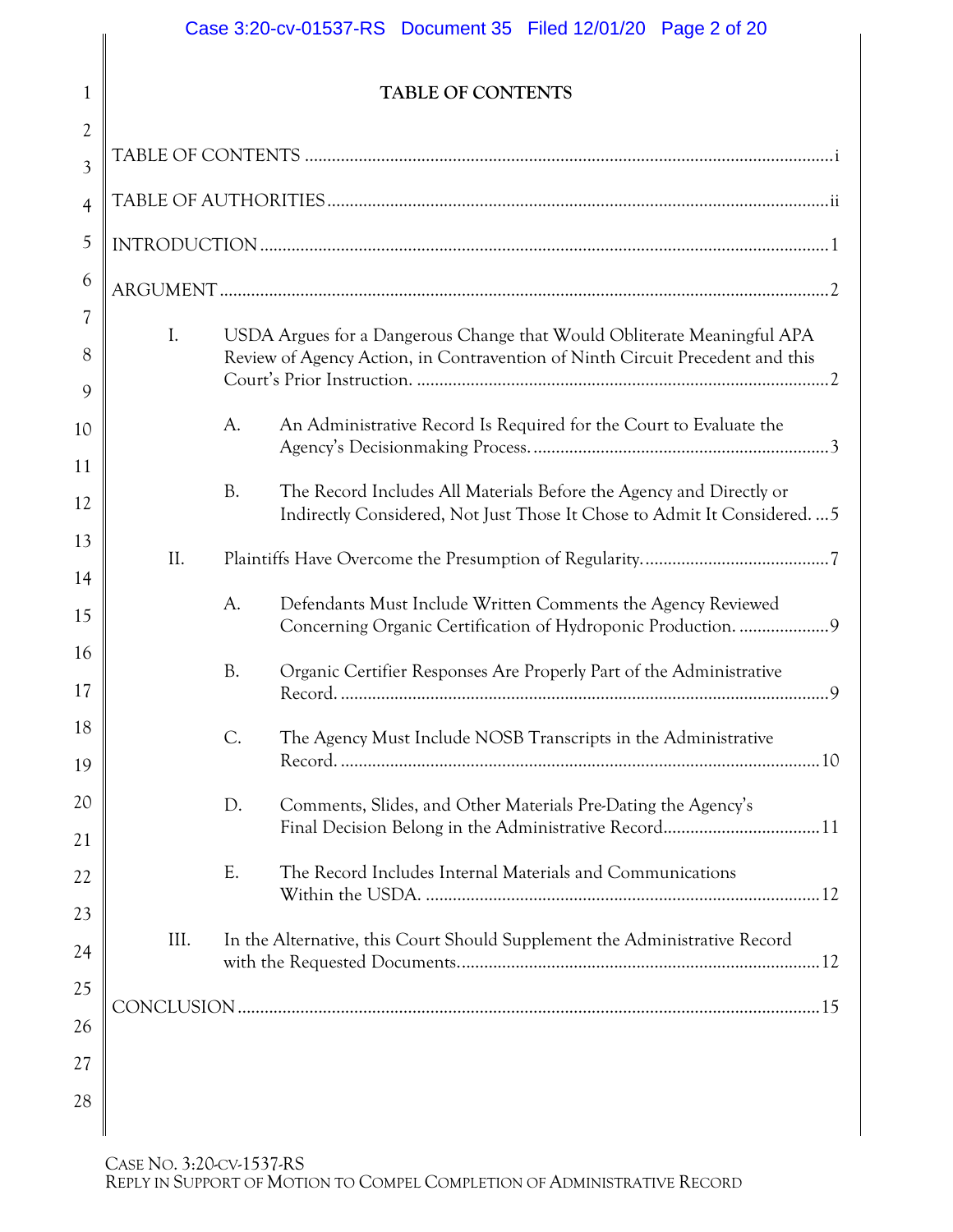# Case 3:20-cv-01537-RS Document 35 Filed 12/01/20 Page 2 of 20

## **TABLE OF CONTENTS**

<span id="page-1-0"></span>

| $\overline{2}$ |      |           |                                                                                                                                               |  |
|----------------|------|-----------|-----------------------------------------------------------------------------------------------------------------------------------------------|--|
| $\overline{3}$ |      |           |                                                                                                                                               |  |
| $\overline{4}$ |      |           |                                                                                                                                               |  |
| 5              |      |           |                                                                                                                                               |  |
| 6              |      |           |                                                                                                                                               |  |
| 7              | I.   |           | USDA Argues for a Dangerous Change that Would Obliterate Meaningful APA                                                                       |  |
| 8              |      |           | Review of Agency Action, in Contravention of Ninth Circuit Precedent and this                                                                 |  |
| 9              |      |           |                                                                                                                                               |  |
| 10             |      | A.        | An Administrative Record Is Required for the Court to Evaluate the                                                                            |  |
| 11             |      |           |                                                                                                                                               |  |
| 12             |      | <b>B.</b> | The Record Includes All Materials Before the Agency and Directly or<br>Indirectly Considered, Not Just Those It Chose to Admit It Considered5 |  |
| 13             |      |           |                                                                                                                                               |  |
| 14             | II.  |           |                                                                                                                                               |  |
| 15             |      | A.        | Defendants Must Include Written Comments the Agency Reviewed<br>Concerning Organic Certification of Hydroponic Production. 9                  |  |
| 16<br>17       |      | <b>B.</b> | Organic Certifier Responses Are Properly Part of the Administrative                                                                           |  |
| 18<br>19       |      | C.        | The Agency Must Include NOSB Transcripts in the Administrative                                                                                |  |
|                |      |           |                                                                                                                                               |  |
| 20<br>21       |      | D.        | Comments, Slides, and Other Materials Pre-Dating the Agency's<br>Final Decision Belong in the Administrative Record11                         |  |
|                |      |           |                                                                                                                                               |  |
| 22             |      | Ε.        | The Record Includes Internal Materials and Communications                                                                                     |  |
| 23<br>24       | III. |           | In the Alternative, this Court Should Supplement the Administrative Record                                                                    |  |
|                |      |           |                                                                                                                                               |  |
| 25             |      |           |                                                                                                                                               |  |
| 26<br>27       |      |           |                                                                                                                                               |  |
|                |      |           |                                                                                                                                               |  |
| 28             |      |           |                                                                                                                                               |  |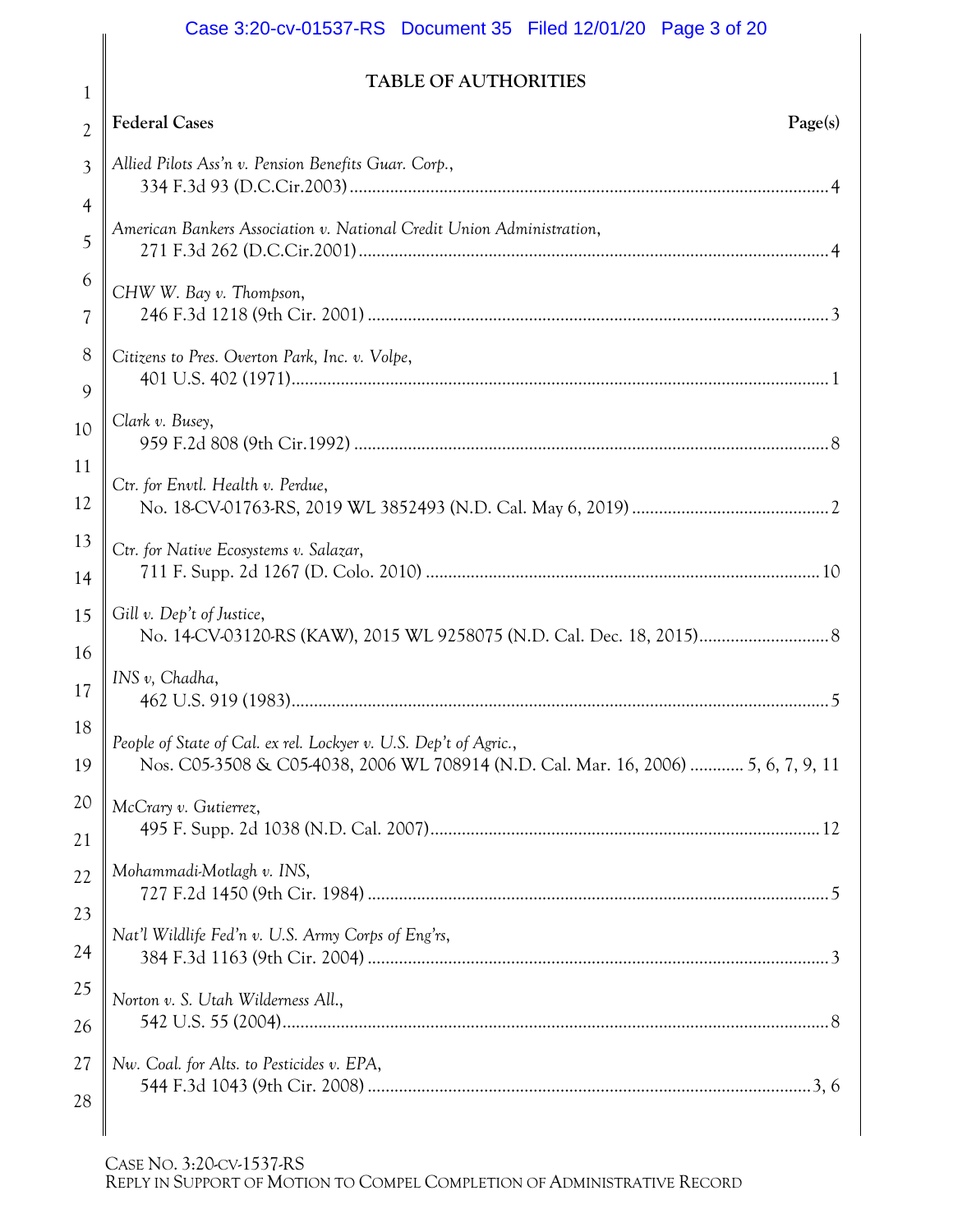# Case 3:20-cv-01537-RS Document 35 Filed 12/01/20 Page 3 of 20

## **TABLE OF AUTHORITIES**

| $\overline{2}$           | <b>Federal Cases</b><br>Page(s)                                                                                                                        |  |
|--------------------------|--------------------------------------------------------------------------------------------------------------------------------------------------------|--|
| 3                        | Allied Pilots Ass'n v. Pension Benefits Guar. Corp.,                                                                                                   |  |
| 4                        |                                                                                                                                                        |  |
| 5                        | American Bankers Association v. National Credit Union Administration,                                                                                  |  |
| 6                        | CHW W. Bay v. Thompson,                                                                                                                                |  |
| $\overline{\mathcal{U}}$ |                                                                                                                                                        |  |
| 8<br>9                   | Citizens to Pres. Overton Park, Inc. v. Volpe,                                                                                                         |  |
| 10                       | Clark v. Busey,                                                                                                                                        |  |
| 11                       |                                                                                                                                                        |  |
| 12                       | Ctr. for Envtl. Health v. Perdue,                                                                                                                      |  |
| 13                       | Ctr. for Native Ecosystems v. Salazar,                                                                                                                 |  |
| 14                       |                                                                                                                                                        |  |
| 15                       | Gill v. Dep't of Justice,                                                                                                                              |  |
| 16<br>17                 | INS v, Chadha,                                                                                                                                         |  |
| 18<br>19                 | People of State of Cal. ex rel. Lockyer v. U.S. Dep't of Agric.,<br>Nos. C05-3508 & C05-4038, 2006 WL 708914 (N.D. Cal. Mar. 16, 2006)  5, 6, 7, 9, 11 |  |
| 20                       | McCrary v. Gutierrez,                                                                                                                                  |  |
| 21                       |                                                                                                                                                        |  |
| 22                       | Mohammadi-Motlagh v. INS,                                                                                                                              |  |
|                          |                                                                                                                                                        |  |
| 23                       | Nat'l Wildlife Fed'n v. U.S. Army Corps of Eng'rs,                                                                                                     |  |
| 24                       |                                                                                                                                                        |  |
| 25                       | Norton v. S. Utah Wilderness All.,                                                                                                                     |  |
| 26                       |                                                                                                                                                        |  |
| 27                       | Nw. Coal. for Alts. to Pesticides v. EPA,                                                                                                              |  |
| 28                       |                                                                                                                                                        |  |
|                          |                                                                                                                                                        |  |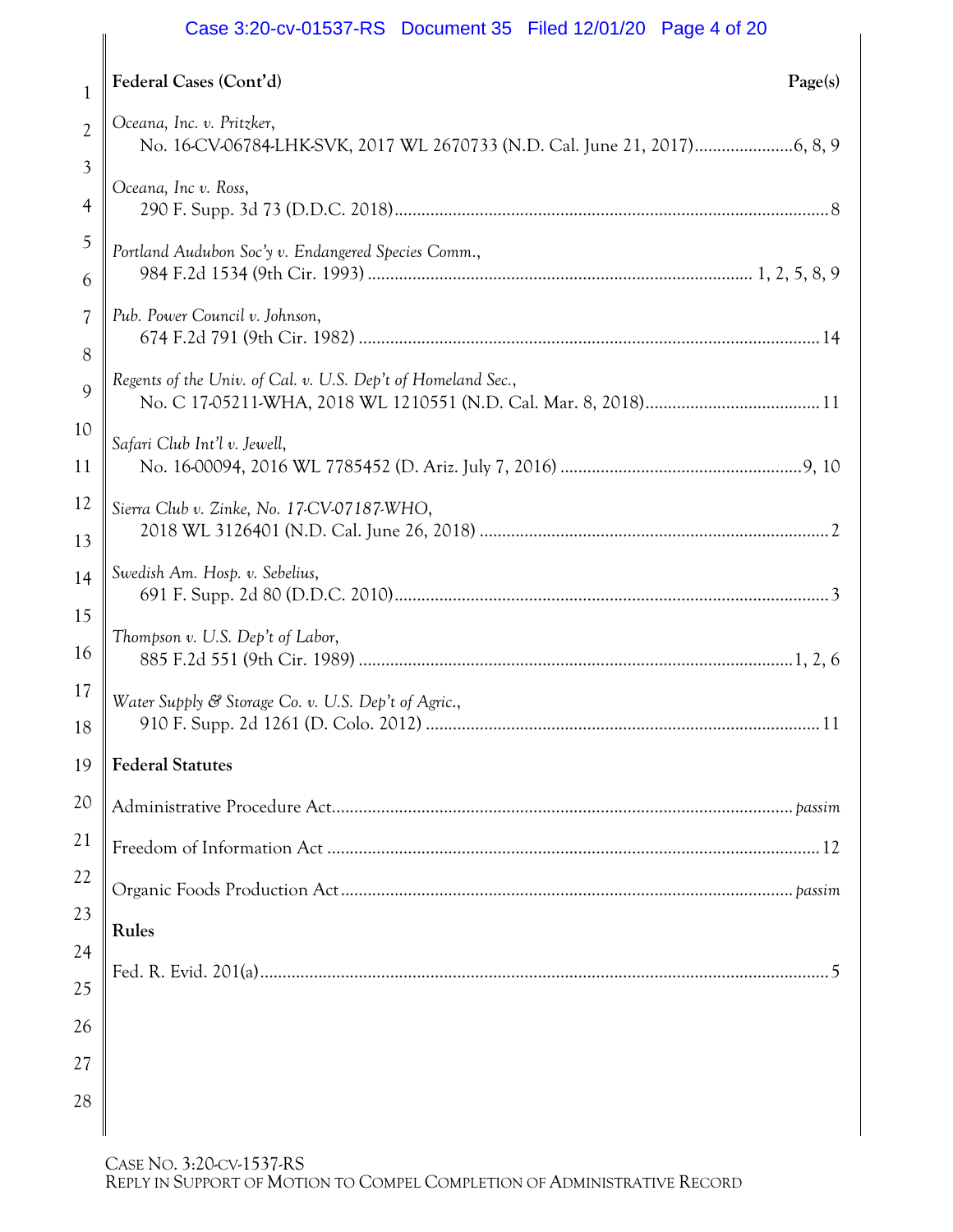## Case 3:20-cv-01537-RS Document 35 Filed 12/01/20 Page 4 of 20

|                               | Case 3.20 CV DUCULIER OF FIGURALIZING FAUL 20                |
|-------------------------------|--------------------------------------------------------------|
| 1                             | Federal Cases (Cont'd)<br>Page(s)                            |
| $\overline{2}$                | Oceana, Inc. v. Pritzker,                                    |
| $\mathfrak{Z}$<br>4           | Oceana, Inc v. Ross,                                         |
| 5<br>6                        | Portland Audubon Soc'y v. Endangered Species Comm.,          |
| $\overline{\mathcal{U}}$<br>8 | Pub. Power Council v. Johnson,                               |
| 9                             | Regents of the Univ. of Cal. v. U.S. Dep't of Homeland Sec., |
| 10<br>11                      | Safari Club Int'l v. Jewell,                                 |
| 12<br>13                      | Sierra Club v. Zinke, No. 17-CV-07187-WHO,                   |
| 14                            | Swedish Am. Hosp. v. Sebelius,                               |
| 15<br>16                      | Thompson v. U.S. Dep't of Labor,                             |
| 17<br>18                      | Water Supply & Storage Co. v. U.S. Dep't of Agric.,<br>. 11  |
| 19                            | <b>Federal Statutes</b>                                      |
| 20                            |                                                              |
| 21                            |                                                              |
| 22                            |                                                              |
| 23                            | Rules                                                        |
| 24                            |                                                              |
| 25                            |                                                              |
| 26                            |                                                              |
| 27                            |                                                              |
| 28                            |                                                              |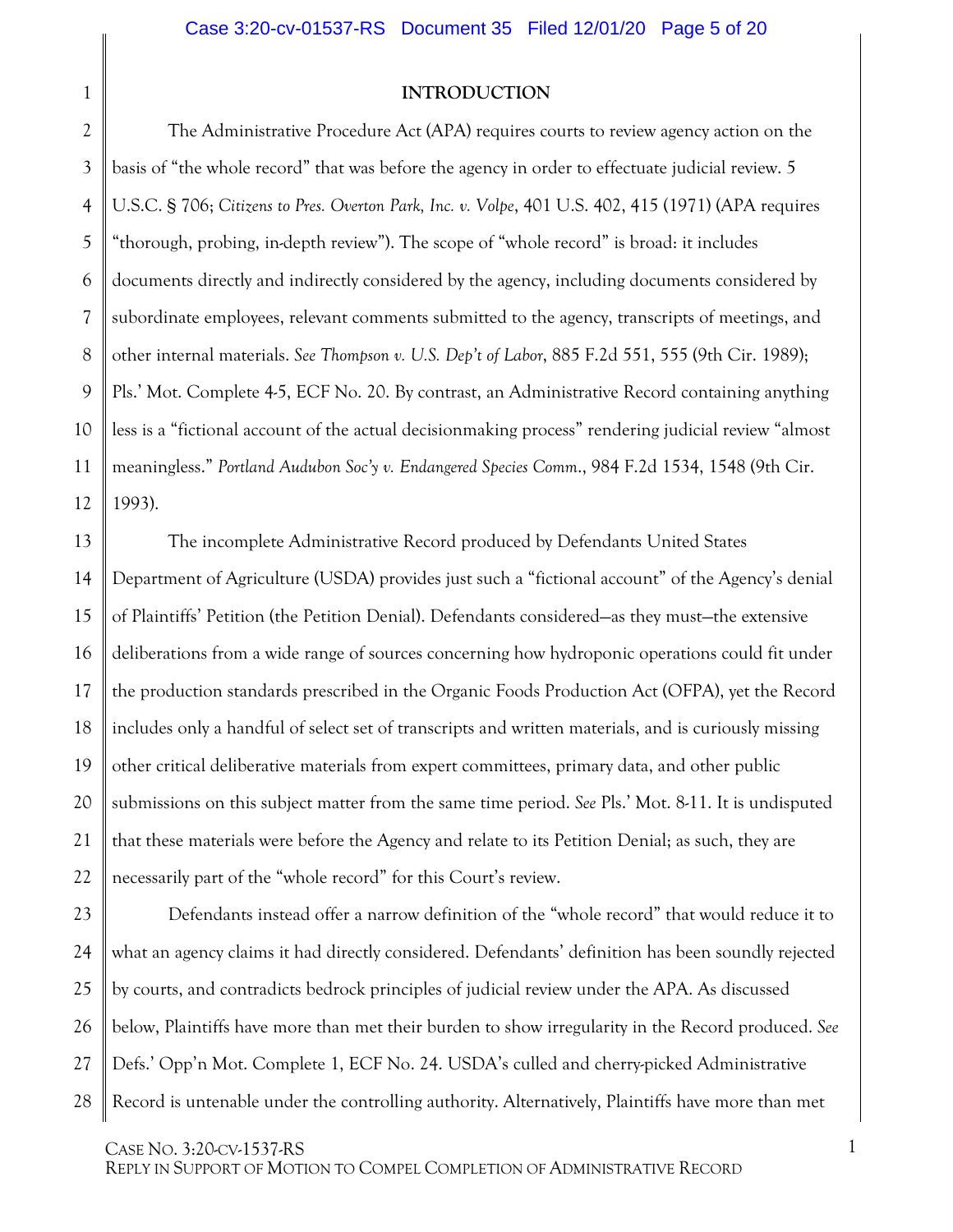#### <span id="page-4-3"></span><span id="page-4-0"></span>**INTRODUCTION**

<span id="page-4-4"></span><span id="page-4-1"></span>3 4 5 6 7 8 9 10 11 12 The Administrative Procedure Act (APA) requires courts to review agency action on the basis of "the whole record" that was before the agency in order to effectuate judicial review. 5 U.S.C. § 706; *Citizens to Pres. Overton Park, Inc. v. Volpe*, 401 U.S. 402, 415 (1971) (APA requires "thorough, probing, in-depth review"). The scope of "whole record" is broad: it includes documents directly and indirectly considered by the agency, including documents considered by subordinate employees, relevant comments submitted to the agency, transcripts of meetings, and other internal materials. *See Thompson v. U.S. Dep't of Labor*, 885 F.2d 551, 555 (9th Cir. 1989); Pls.' Mot. Complete 4-5, ECF No. 20. By contrast, an Administrative Record containing anything less is a "fictional account of the actual decisionmaking process" rendering judicial review "almost meaningless." *Portland Audubon Soc'y v. Endangered Species Comm*., 984 F.2d 1534, 1548 (9th Cir. 1993).

<span id="page-4-2"></span>13 14 15 16 17 18 19 20 21 22 The incomplete Administrative Record produced by Defendants United States Department of Agriculture (USDA) provides just such a "fictional account" of the Agency's denial of Plaintiffs' Petition (the Petition Denial). Defendants considered—as they must—the extensive deliberations from a wide range of sources concerning how hydroponic operations could fit under the production standards prescribed in the Organic Foods Production Act (OFPA), yet the Record includes only a handful of select set of transcripts and written materials, and is curiously missing other critical deliberative materials from expert committees, primary data, and other public submissions on this subject matter from the same time period. *See* Pls.' Mot. 8-11. It is undisputed that these materials were before the Agency and relate to its Petition Denial; as such, they are necessarily part of the "whole record" for this Court's review.

23 24 25 26 27 28 Defendants instead offer a narrow definition of the "whole record" that would reduce it to what an agency claims it had directly considered. Defendants' definition has been soundly rejected by courts, and contradicts bedrock principles of judicial review under the APA. As discussed below, Plaintiffs have more than met their burden to show irregularity in the Record produced. *See* Defs.' Opp'n Mot. Complete 1, ECF No. 24. USDA's culled and cherry-picked Administrative Record is untenable under the controlling authority. Alternatively, Plaintiffs have more than met

1

CASE NO. 3:20-CV-1537-RS

REPLY IN SUPPORT OF MOTION TO COMPEL COMPLETION OF ADMINISTRATIVE RECORD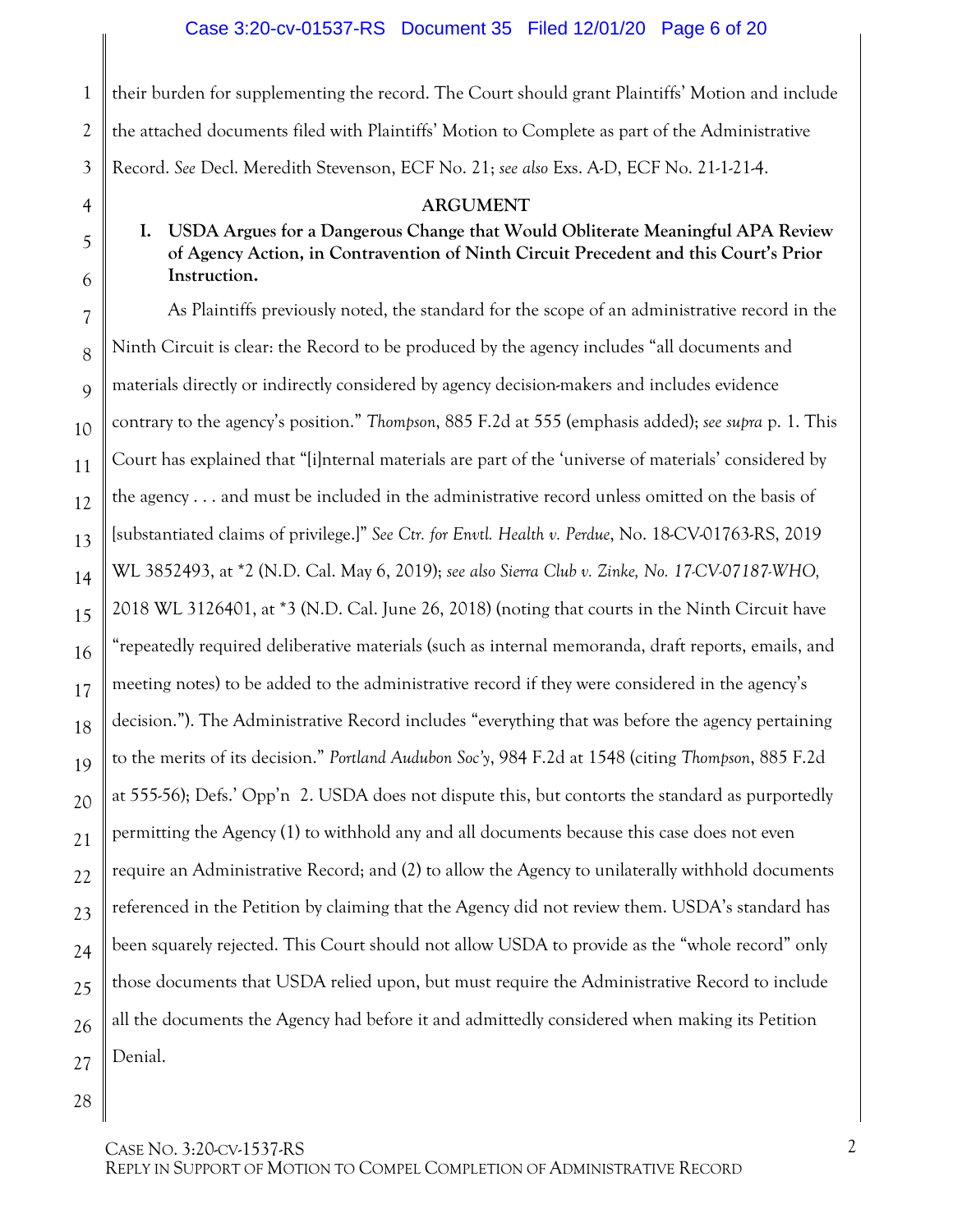1 their burden for supplementing the record. The Court should grant Plaintiffs' Motion and include the attached documents filed with Plaintiffs' Motion to Complete as part of the Administrative Record. *See* Decl. Meredith Stevenson, ECF No. 21; *see also* Exs. A-D, ECF No. 21-1-21-4.

#### <span id="page-5-5"></span><span id="page-5-4"></span><span id="page-5-2"></span><span id="page-5-0"></span>**ARGUMENT**

## <span id="page-5-1"></span>**I. USDA Argues for a Dangerous Change that Would Obliterate Meaningful APA Review of Agency Action, in Contravention of Ninth Circuit Precedent and this Court's Prior Instruction.**

<span id="page-5-3"></span>As Plaintiffs previously noted, the standard for the scope of an administrative record in the Ninth Circuit is clear: the Record to be produced by the agency includes "all documents and materials directly or indirectly considered by agency decision-makers and includes evidence contrary to the agency's position." *Thompson*, 885 F.2d at 555 (emphasis added); *see supra* p. 1. This Court has explained that "[i]nternal materials are part of the 'universe of materials' considered by the agency . . . and must be included in the administrative record unless omitted on the basis of [substantiated claims of privilege.]" *See Ctr. for Envtl. Health v. Perdue*, No. 18-CV-01763-RS, 2019 WL 3852493, at \*2 (N.D. Cal. May 6, 2019); *see also Sierra Club v. Zinke, No. 17-CV-07187-WHO,* 2018 WL 3126401, at \*3 (N.D. Cal. June 26, 2018) (noting that courts in the Ninth Circuit have "repeatedly required deliberative materials (such as internal memoranda, draft reports, emails, and meeting notes) to be added to the administrative record if they were considered in the agency's decision."). The Administrative Record includes "everything that was before the agency pertaining to the merits of its decision." *Portland Audubon Soc'y*, 984 F.2d at 1548 (citing *Thompson*, 885 F.2d at 555-56); Defs.' Opp'n 2. USDA does not dispute this, but contorts the standard as purportedly permitting the Agency (1) to withhold any and all documents because this case does not even require an Administrative Record; and (2) to allow the Agency to unilaterally withhold documents referenced in the Petition by claiming that the Agency did not review them. USDA's standard has been squarely rejected. This Court should not allow USDA to provide as the "whole record" only those documents that USDA relied upon, but must require the Administrative Record to include all the documents the Agency had before it and admittedly considered when making its Petition Denial.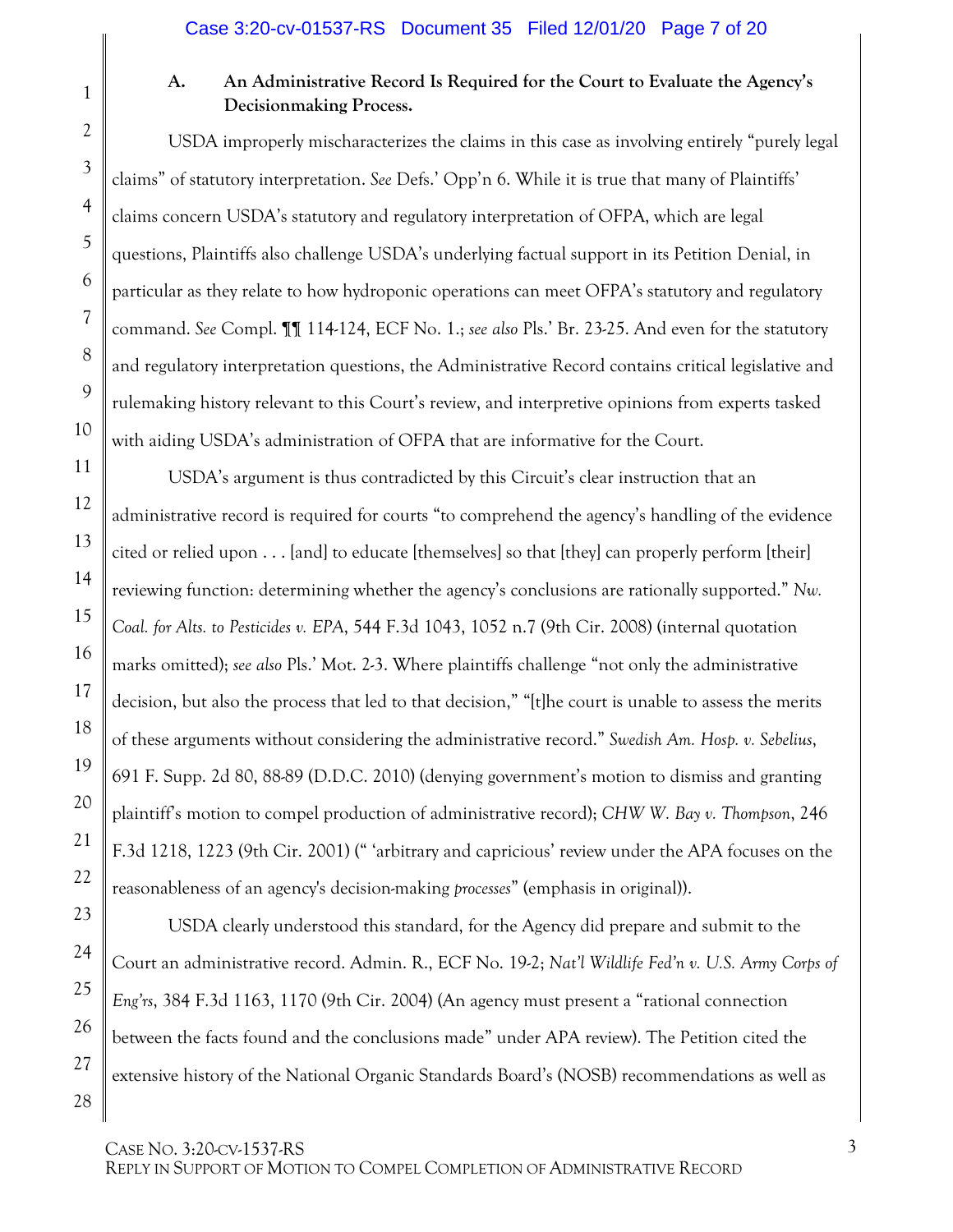1

2

3

4

5

6

7

8

9

10

11

12

13

14

15

16

17

<span id="page-6-4"></span>18

19

20

21

22

23

24

25

26

27

28

## <span id="page-6-0"></span>**A. An Administrative Record Is Required for the Court to Evaluate the Agency's Decisionmaking Process.**

USDA improperly mischaracterizes the claims in this case as involving entirely "purely legal claims" of statutory interpretation. *See* Defs.' Opp'n 6. While it is true that many of Plaintiffs' claims concern USDA's statutory and regulatory interpretation of OFPA, which are legal questions, Plaintiffs also challenge USDA's underlying factual support in its Petition Denial, in particular as they relate to how hydroponic operations can meet OFPA's statutory and regulatory command. *See* Compl. ¶¶ 114-124, ECF No. 1.; *see also* Pls.' Br. 23-25. And even for the statutory and regulatory interpretation questions, the Administrative Record contains critical legislative and rulemaking history relevant to this Court's review, and interpretive opinions from experts tasked with aiding USDA's administration of OFPA that are informative for the Court.

<span id="page-6-3"></span>USDA's argument is thus contradicted by this Circuit's clear instruction that an administrative record is required for courts "to comprehend the agency's handling of the evidence cited or relied upon . . . [and] to educate [themselves] so that [they] can properly perform [their] reviewing function: determining whether the agency's conclusions are rationally supported." *Nw. Coal. for Alts. to Pesticides v. EPA*, 544 F.3d 1043, 1052 n.7 (9th Cir. 2008) (internal quotation marks omitted); *see also* Pls.' Mot. 2-3. Where plaintiffs challenge "not only the administrative decision, but also the process that led to that decision," "[t]he court is unable to assess the merits of these arguments without considering the administrative record." *[Swedish Am. Hosp. v. Sebelius](https://1.next.westlaw.com/Link/Document/FullText?findType=Y&serNum=2021486797&pubNum=0004637&originatingDoc=I5ca4d9c05db611eaa7f2c2ee73128881&refType=RP&fi=co_pp_sp_4637_88&originationContext=document&transitionType=DocumentItem&contextData=(sc.RelatedInfo)#co_pp_sp_4637_88)*, [691 F. Supp. 2d 80, 88-89 \(D.D.C. 2010\)](https://1.next.westlaw.com/Link/Document/FullText?findType=Y&serNum=2021486797&pubNum=0004637&originatingDoc=I5ca4d9c05db611eaa7f2c2ee73128881&refType=RP&fi=co_pp_sp_4637_88&originationContext=document&transitionType=DocumentItem&contextData=(sc.RelatedInfo)#co_pp_sp_4637_88) (denying government's motion to dismiss and granting plaintiff's motion to compel production of administrative record); *[CHW W. Bay v. Thompson](https://1.next.westlaw.com/Link/Document/FullText?findType=Y&serNum=2001321904&pubNum=0000506&originatingDoc=I5ca4d9c05db611eaa7f2c2ee73128881&refType=RP&fi=co_pp_sp_506_1223&originationContext=document&transitionType=DocumentItem&contextData=(sc.RelatedInfo)#co_pp_sp_506_1223)*, 246 [F.3d 1218, 1223 \(9th Cir. 2001\)](https://1.next.westlaw.com/Link/Document/FullText?findType=Y&serNum=2001321904&pubNum=0000506&originatingDoc=I5ca4d9c05db611eaa7f2c2ee73128881&refType=RP&fi=co_pp_sp_506_1223&originationContext=document&transitionType=DocumentItem&contextData=(sc.RelatedInfo)#co_pp_sp_506_1223) (" 'arbitrary and capricious' review under the APA focuses on the reasonableness of an agency's decision-making *processes*" (emphasis in original)).

<span id="page-6-2"></span><span id="page-6-1"></span>USDA clearly understood this standard, for the Agency did prepare and submit to the Court an administrative record. Admin. R., ECF No. 19-2; *Nat'l Wildlife Fed'n v. U.S. Army Corps of Eng'rs*, 384 F.3d 1163, 1170 (9th Cir. 2004) (An agency must present a "rational connection between the facts found and the conclusions made" under APA review). The Petition cited the extensive history of the National Organic Standards Board's (NOSB) recommendations as well as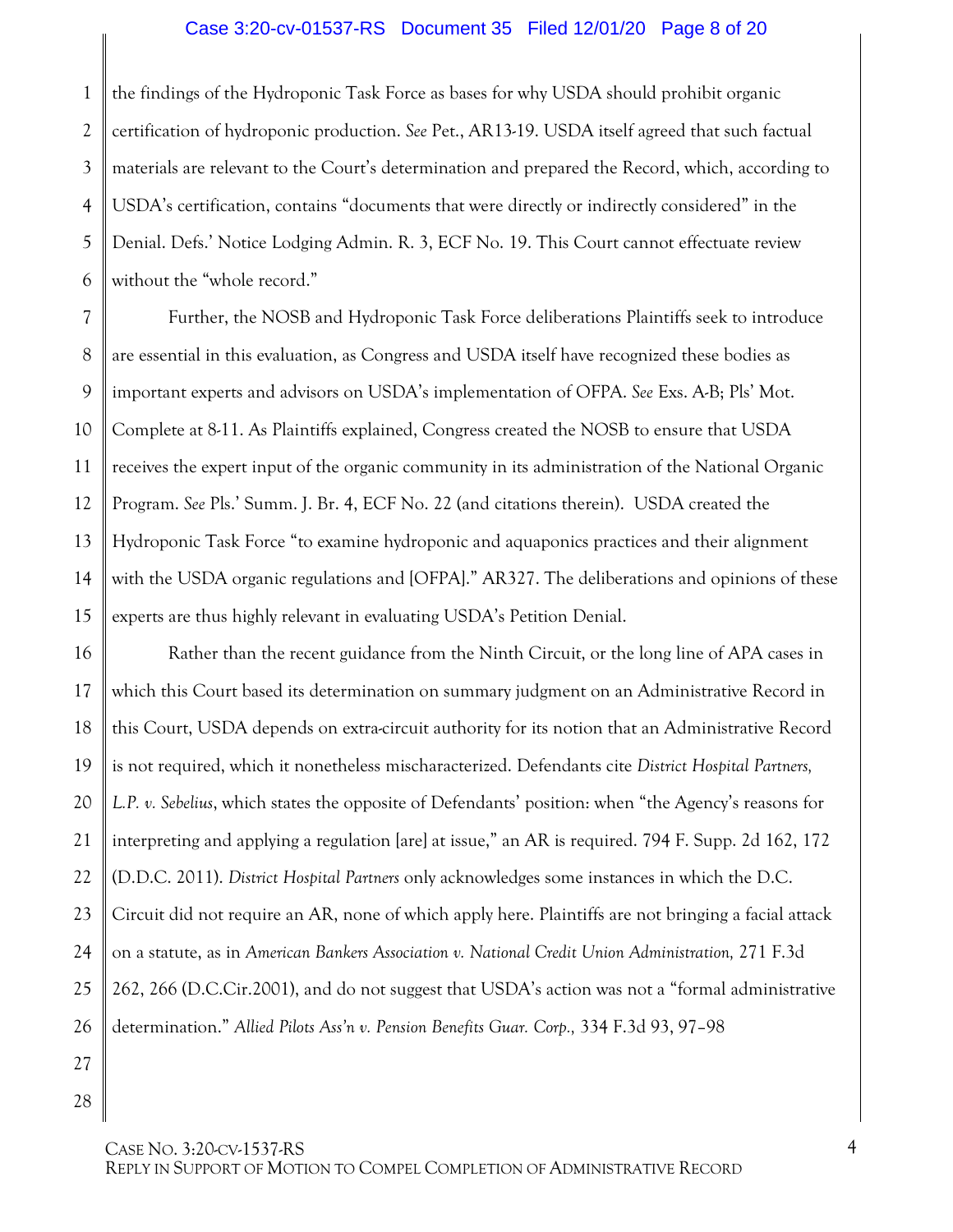#### Case 3:20-cv-01537-RS Document 35 Filed 12/01/20 Page 8 of 20

1 2 3 4 5 6 the findings of the Hydroponic Task Force as bases for why USDA should prohibit organic certification of hydroponic production. *See* Pet., AR13-19. USDA itself agreed that such factual materials are relevant to the Court's determination and prepared the Record, which, according to USDA's certification, contains "documents that were directly or indirectly considered" in the Denial. Defs.' Notice Lodging Admin. R. 3, ECF No. 19. This Court cannot effectuate review without the "whole record."

7 8 9 10 11 12 13 14 15 Further, the NOSB and Hydroponic Task Force deliberations Plaintiffs seek to introduce are essential in this evaluation, as Congress and USDA itself have recognized these bodies as important experts and advisors on USDA's implementation of OFPA. *See* Exs. A-B; Pls' Mot. Complete at 8-11. As Plaintiffs explained, Congress created the NOSB to ensure that USDA receives the expert input of the organic community in its administration of the National Organic Program. *See* Pls.' Summ. J. Br. 4, ECF No. 22 (and citations therein). USDA created the Hydroponic Task Force "to examine hydroponic and aquaponics practices and their alignment with the USDA organic regulations and [OFPA]." AR327. The deliberations and opinions of these experts are thus highly relevant in evaluating USDA's Petition Denial.

16 17 18 19 20 21 22 23 24 25 26 Rather than the recent guidance from the Ninth Circuit, or the long line of APA cases in which this Court based its determination on summary judgment on an Administrative Record in this Court, USDA depends on extra-circuit authority for its notion that an Administrative Record is not required, which it nonetheless mischaracterized. Defendants cite *District Hospital Partners, L.P. v. Sebelius*, which states the opposite of Defendants' position: when "the Agency's reasons for interpreting and applying a regulation [are] at issue," an AR is required. 794 F. Supp. 2d 162, 172 (D.D.C. 2011). *District Hospital Partners* only acknowledges some instances in which the D.C. Circuit did not require an AR, none of which apply here. Plaintiffs are not bringing a facial attack on a statute, as in *American Bankers Association v. National Credit Union Administration,* 271 F.3d 262, 266 (D.C.Cir.2001), and do not suggest that USDA's action was not a "formal administrative determination." *Allied Pilots Ass'n v. Pension Benefits Guar. Corp.,* 334 F.3d 93, 97–98

<span id="page-7-1"></span><span id="page-7-0"></span>27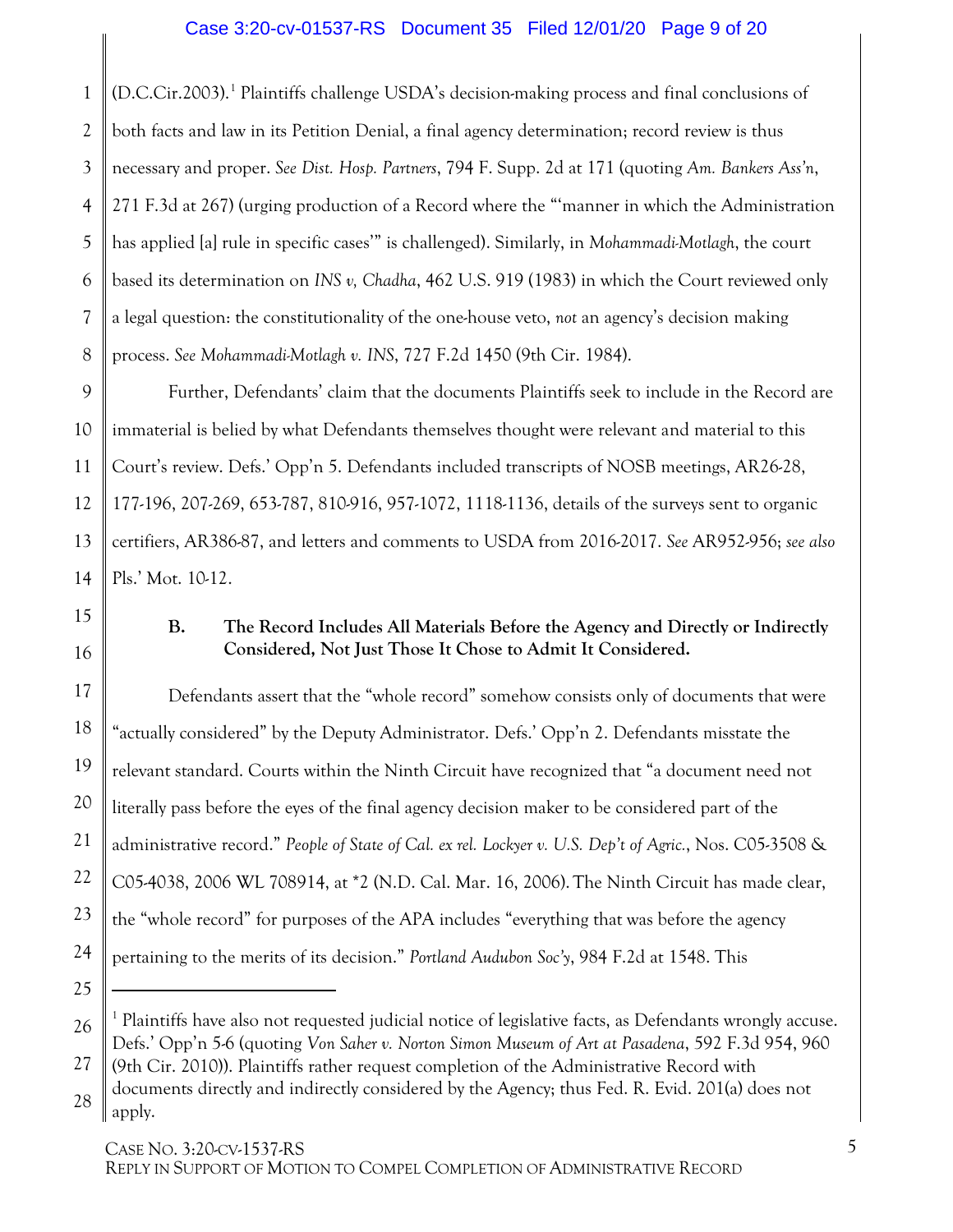### <span id="page-8-3"></span><span id="page-8-1"></span>Case 3:20-cv-01537-RS Document 35 Filed 12/01/20 Page 9 of 20

1 2 3 4 5 6 7 8 (D.C.Cir.2003).[1](#page-8-6) Plaintiffs challenge USDA's decision-making process and final conclusions of both facts and law in its Petition Denial, a final agency determination; record review is thus necessary and proper. *See Dist. Hosp. Partners*, 794 F. Supp. 2d at 171 (quoting *Am. Bankers Ass'n*, 271 F.3d at 267) (urging production of a Record where the "'manner in which the Administration has applied [a] rule in specific cases'" is challenged). Similarly, in *Mohammadi-Motlagh*, the court based its determination on *INS v, Chadha*, 462 U.S. 919 (1983) in which the Court reviewed only a legal question: the constitutionality of the one-house veto, *not* an agency's decision making process. *See Mohammadi-Motlagh v. INS*, 727 F.2d 1450 (9th Cir. 1984).

9 10 11 12 13 14 Further, Defendants' claim that the documents Plaintiffs seek to include in the Record are immaterial is belied by what Defendants themselves thought were relevant and material to this Court's review. Defs.' Opp'n 5. Defendants included transcripts of NOSB meetings, AR26-28, 177-196, 207-269, 653-787, 810-916, 957-1072, 1118-1136, details of the surveys sent to organic certifiers, AR386-87, and letters and comments to USDA from 2016-2017. *See* AR952-956; *see also* Pls.' Mot. 10-12.

## 15 16

17

18

19

20

<span id="page-8-2"></span>21

22

23

<span id="page-8-4"></span>24

25

#### <span id="page-8-0"></span>**B. The Record Includes All Materials Before the Agency and Directly or Indirectly Considered, Not Just Those It Chose to Admit It Considered.**

Defendants assert that the "whole record" somehow consists only of documents that were "actually considered" by the Deputy Administrator. Defs.' Opp'n 2. Defendants misstate the relevant standard. Courts within the Ninth Circuit have recognized that "a document need not literally pass before the eyes of the final agency decision maker to be considered part of the administrative record." *People of State of Cal. ex rel. Lockyer v. U.S. Dep't of Agric.*, Nos. C05-3508 & C05-4038, 2006 WL 708914, at \*2 (N.D. Cal. Mar. 16, 2006).The Ninth Circuit has made clear, the "whole record" for purposes of the APA includes "everything that was before the agency pertaining to the merits of its decision." *Portland Audubon Soc'y*, 984 F.2d at 1548. This  $\overline{a}$ 

<span id="page-8-6"></span><sup>26</sup>  $1$  Plaintiffs have also not requested judicial notice of legislative facts, as Defendants wrongly accuse. Defs.' Opp'n 5-6 (quoting *Von Saher v. Norton Simon Museum of Art at Pasadena*, 592 F.3d 954, 960

<sup>27</sup> (9th Cir. 2010)). Plaintiffs rather request completion of the Administrative Record with

<span id="page-8-5"></span><sup>28</sup> documents directly and indirectly considered by the Agency; thus Fed. R. Evid. 201(a) does not apply.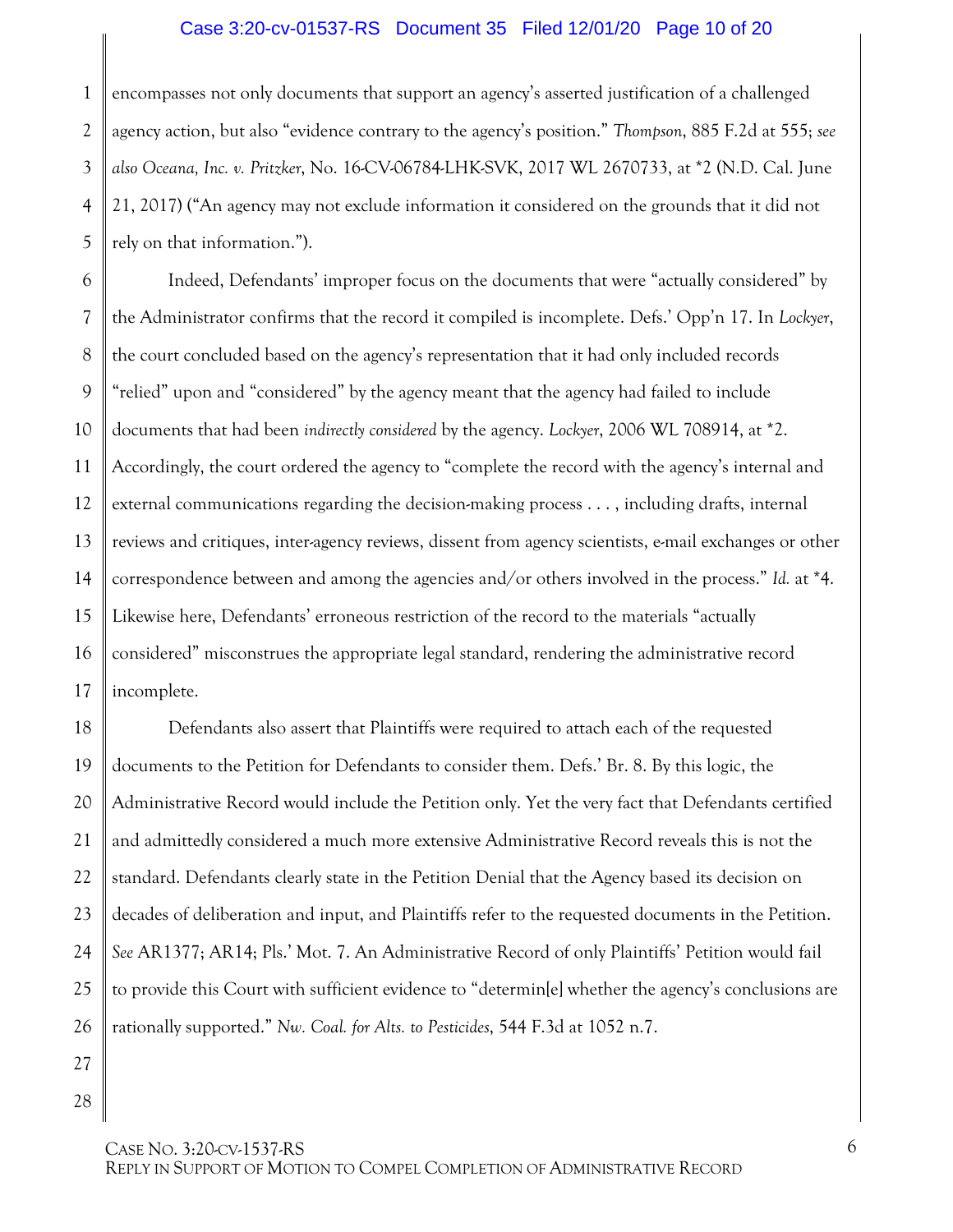#### <span id="page-9-3"></span><span id="page-9-0"></span>Case 3:20-cv-01537-RS Document 35 Filed 12/01/20 Page 10 of 20

<span id="page-9-2"></span>1 2 3 4 5 encompasses not only documents that support an agency's asserted justification of a challenged agency action, but also "evidence contrary to the agency's position." *Thompson*, 885 F.2d at 555; *see also Oceana, Inc. v. Pritzker*, No. 16-CV-06784-LHK-SVK, 2017 WL 2670733, at \*2 (N.D. Cal. June 21, 2017) ("An agency may not exclude information it considered on the grounds that it did not rely on that information.").

6 7 8 9 10 11 12 13 14 15 16 17 Indeed, Defendants' improper focus on the documents that were "actually considered" by the Administrator confirms that the record it compiled is incomplete. Defs.' Opp'n 17. In *Lockyer*, the court concluded based on the agency's representation that it had only included records "relied" upon and "considered" by the agency meant that the agency had failed to include documents that had been *indirectly considered* by the agency. *Lockyer*, 2006 WL 708914, at \*2. Accordingly, the court ordered the agency to "complete the record with the agency's internal and external communications regarding the decision-making process . . . , including drafts, internal reviews and critiques, inter-agency reviews, dissent from agency scientists, e-mail exchanges or other correspondence between and among the agencies and/or others involved in the process." *Id.* at \*4. Likewise here, Defendants' erroneous restriction of the record to the materials "actually considered" misconstrues the appropriate legal standard, rendering the administrative record incomplete.

<span id="page-9-1"></span>18 19 20 21 22 23 24 25 26 Defendants also assert that Plaintiffs were required to attach each of the requested documents to the Petition for Defendants to consider them. Defs.' Br. 8. By this logic, the Administrative Record would include the Petition only. Yet the very fact that Defendants certified and admittedly considered a much more extensive Administrative Record reveals this is not the standard. Defendants clearly state in the Petition Denial that the Agency based its decision on decades of deliberation and input, and Plaintiffs refer to the requested documents in the Petition. *See* AR1377; AR14; Pls.' Mot. 7. An Administrative Record of only Plaintiffs' Petition would fail to provide this Court with sufficient evidence to "determin[e] whether the agency's conclusions are rationally supported." *Nw. Coal. for Alts. to Pesticides*, 544 F.3d at 1052 n.7.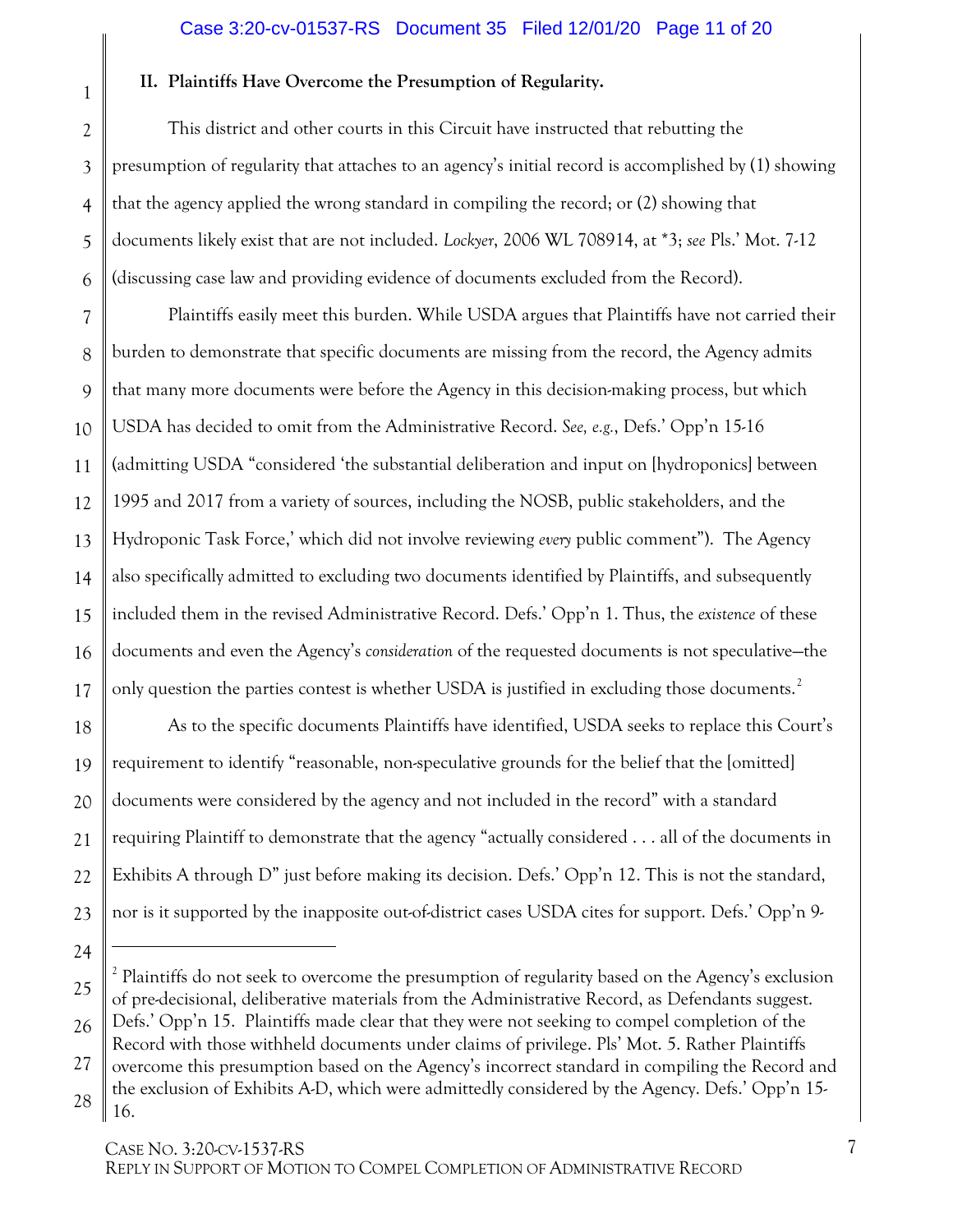#### <span id="page-10-1"></span><span id="page-10-0"></span>Case 3:20-cv-01537-RS Document 35 Filed 12/01/20 Page 11 of 20

#### **II. Plaintiffs Have Overcome the Presumption of Regularity.**

This district and other courts in this Circuit have instructed that rebutting the presumption of regularity that attaches to an agency's initial record is accomplished by (1) showing that the agency applied the wrong standard in compiling the record; or (2) showing that documents likely exist that are not included. *Lockyer*, 2006 WL 708914, at \*3; *see* Pls.' Mot. 7-12 (discussing case law and providing evidence of documents excluded from the Record).

7 8 9 10 11 12 13 14 15 16 17 18 Plaintiffs easily meet this burden. While USDA argues that Plaintiffs have not carried their burden to demonstrate that specific documents are missing from the record, the Agency admits that many more documents were before the Agency in this decision-making process, but which USDA has decided to omit from the Administrative Record. *See, e.g.*, Defs.' Opp'n 15-16 (admitting USDA "considered 'the substantial deliberation and input on [hydroponics] between 1995 and 2017 from a variety of sources, including the NOSB, public stakeholders, and the Hydroponic Task Force,' which did not involve reviewing *every* public comment"). The Agency also specifically admitted to excluding two documents identified by Plaintiffs, and subsequently included them in the revised Administrative Record. Defs.' Opp'n 1. Thus, the *existence* of these documents and even the Agency's *consideration* of the requested documents is not speculative—the only question the parties contest is whether USDA is justified in excluding those documents.<sup>[2](#page-10-2)</sup> As to the specific documents Plaintiffs have identified, USDA seeks to replace this Court's

requirement to identify "reasonable, non-speculative grounds for the belief that the [omitted] documents were considered by the agency and not included in the record" with a standard requiring Plaintiff to demonstrate that the agency "actually considered . . . all of the documents in Exhibits A through D" just before making its decision. Defs.' Opp'n 12. This is not the standard, nor is it supported by the inapposite out-of-district cases USDA cites for support. Defs.' Opp'n 9-

 $\overline{a}$ 

19

20

21

22

23

1

2

3

4

5

<sup>24</sup>

<span id="page-10-2"></span><sup>25</sup> 26 27 28 <sup>2</sup> Plaintiffs do not seek to overcome the presumption of regularity based on the Agency's exclusion of pre-decisional, deliberative materials from the Administrative Record, as Defendants suggest. Defs.' Opp'n 15. Plaintiffs made clear that they were not seeking to compel completion of the Record with those withheld documents under claims of privilege. Pls' Mot. 5. Rather Plaintiffs overcome this presumption based on the Agency's incorrect standard in compiling the Record and the exclusion of Exhibits A-D, which were admittedly considered by the Agency. Defs.' Opp'n 15- 16.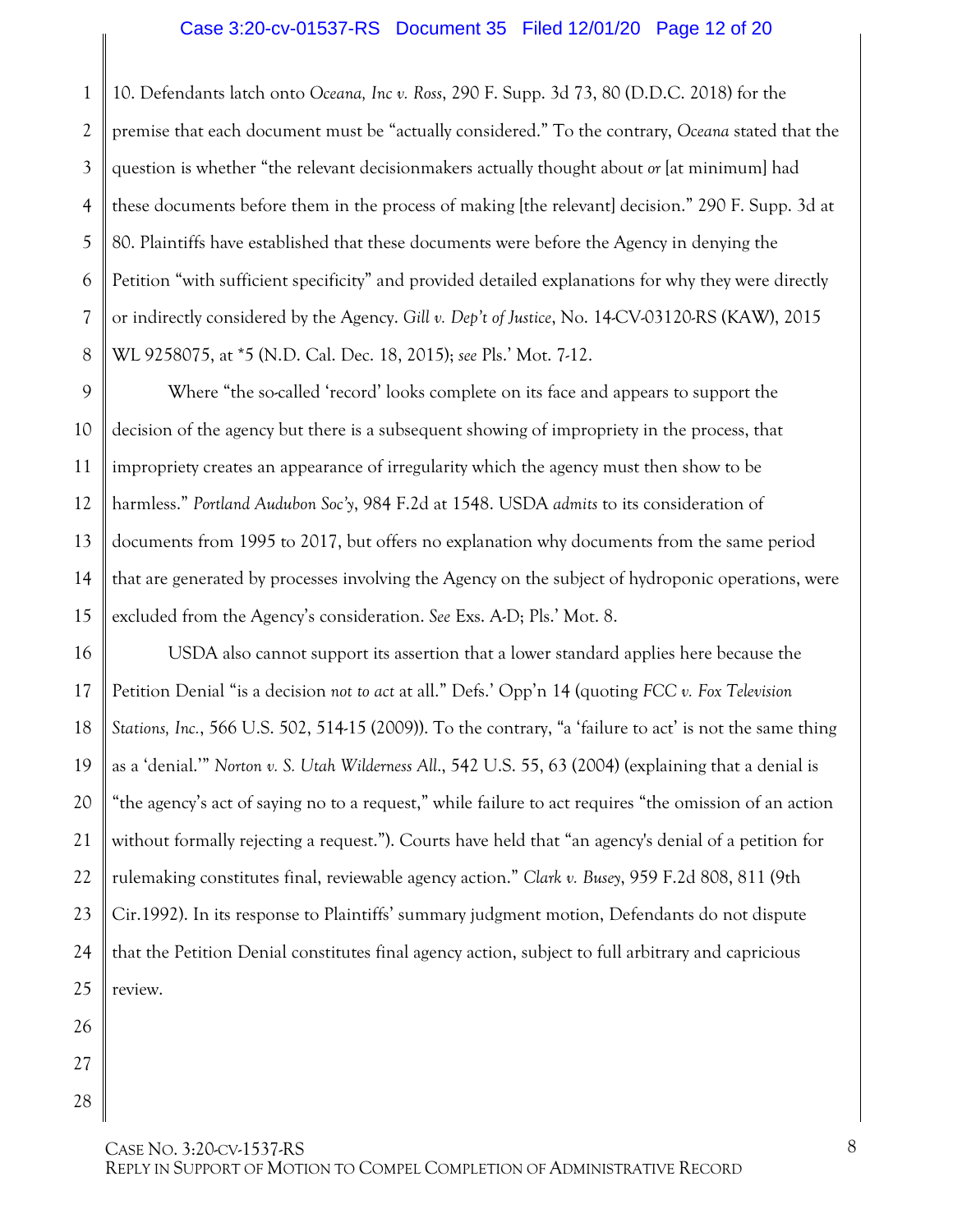#### <span id="page-11-4"></span><span id="page-11-3"></span>Case 3:20-cv-01537-RS Document 35 Filed 12/01/20 Page 12 of 20

1 2 3 4 5 6 7 8 10. Defendants latch onto *Oceana, Inc v. Ross*, 290 F. Supp. 3d 73, 80 (D.D.C. 2018) for the premise that each document must be "actually considered." To the contrary, *Oceana* stated that the question is whether "the relevant decisionmakers actually thought about *or* [at minimum] had these documents before them in the process of making [the relevant] decision." 290 F. Supp. 3d at 80. Plaintiffs have established that these documents were before the Agency in denying the Petition "with sufficient specificity" and provided detailed explanations for why they were directly or indirectly considered by the Agency. *Gill v. Dep't of Justice*, No. 14-CV-03120-RS (KAW), 2015 WL 9258075, at \*5 (N.D. Cal. Dec. 18, 2015); *see* Pls.' Mot. 7-12.

<span id="page-11-5"></span><span id="page-11-1"></span>9 10 11 12 13 14 15 Where "the so-called 'record' looks complete on its face and appears to support the decision of the agency but there is a subsequent showing of impropriety in the process, that impropriety creates an appearance of irregularity which the agency must then show to be harmless." *Portland Audubon Soc'y*, 984 F.2d at 1548. USDA *admits* to its consideration of documents from 1995 to 2017, but offers no explanation why documents from the same period that are generated by processes involving the Agency on the subject of hydroponic operations, were excluded from the Agency's consideration. *See* Exs. A-D; Pls.' Mot. 8.

<span id="page-11-2"></span><span id="page-11-0"></span>16 17 18 19 20 21 22 23 24 USDA also cannot support its assertion that a lower standard applies here because the Petition Denial "is a decision *not to act* at all." Defs.' Opp'n 14 (quoting *FCC v. Fox Television Stations, Inc.*, 566 U.S. 502, 514-15 (2009)). To the contrary, "a 'failure to act' is not the same thing as a 'denial.'" *Norton v. S. Utah Wilderness All*., 542 U.S. 55, 63 (2004) (explaining that a denial is "the agency's act of saying no to a request," while failure to act requires "the omission of an action without formally rejecting a request."). Courts have held that "an agency's denial of a petition for rulemaking constitutes final, reviewable agency action." *Clark v. Busey*, 959 F.2d 808, 811 (9th Cir.1992). In its response to Plaintiffs' summary judgment motion, Defendants do not dispute that the Petition Denial constitutes final agency action, subject to full arbitrary and capricious review.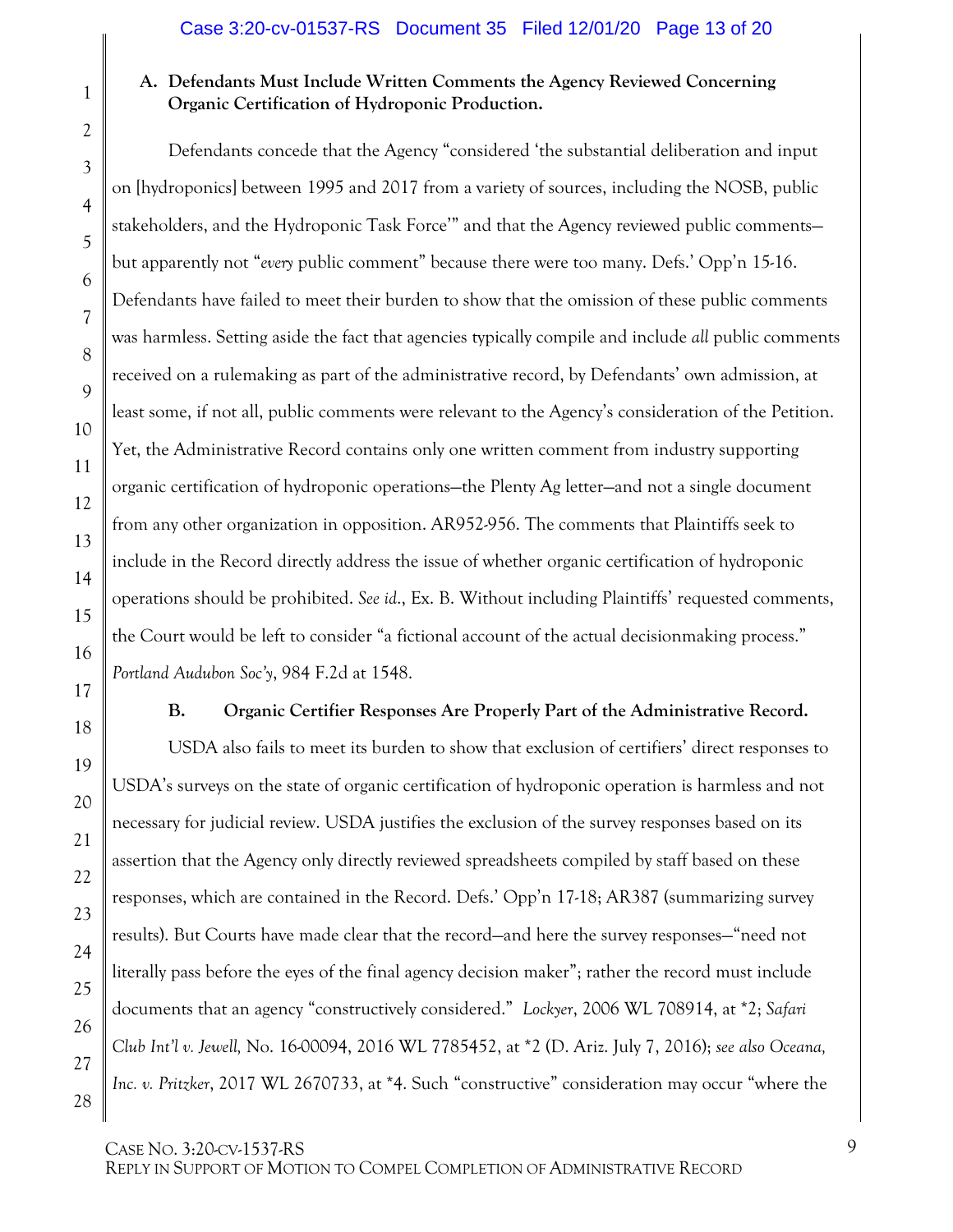## <span id="page-12-0"></span>**A. Defendants Must Include Written Comments the Agency Reviewed Concerning Organic Certification of Hydroponic Production.**

Defendants concede that the Agency "considered 'the substantial deliberation and input on [hydroponics] between 1995 and 2017 from a variety of sources, including the NOSB, public stakeholders, and the Hydroponic Task Force'" and that the Agency reviewed public comments but apparently not "*every* public comment" because there were too many. Defs.' Opp'n 15-16. Defendants have failed to meet their burden to show that the omission of these public comments was harmless. Setting aside the fact that agencies typically compile and include *all* public comments received on a rulemaking as part of the administrative record, by Defendants' own admission, at least some, if not all, public comments were relevant to the Agency's consideration of the Petition. Yet, the Administrative Record contains only one written comment from industry supporting organic certification of hydroponic operations—the Plenty Ag letter—and not a single document from any other organization in opposition. AR952-956. The comments that Plaintiffs seek to include in the Record directly address the issue of whether organic certification of hydroponic operations should be prohibited. *See id*., Ex. B. Without including Plaintiffs' requested comments, the Court would be left to consider "a fictional account of the actual decisionmaking process." *Portland Audubon Soc'y*, 984 F.2d at 1548.

<span id="page-12-4"></span>

<span id="page-12-5"></span><span id="page-12-3"></span><span id="page-12-2"></span><span id="page-12-1"></span>**B. Organic Certifier Responses Are Properly Part of the Administrative Record.**

USDA also fails to meet its burden to show that exclusion of certifiers' direct responses to USDA's surveys on the state of organic certification of hydroponic operation is harmless and not necessary for judicial review. USDA justifies the exclusion of the survey responses based on its assertion that the Agency only directly reviewed spreadsheets compiled by staff based on these responses, which are contained in the Record. Defs.' Opp'n 17-18; AR387 (summarizing survey results). But Courts have made clear that the record—and here the survey responses—"need not literally pass before the eyes of the final agency decision maker"; rather the record must include documents that an agency "constructively considered." *Lockyer*, 2006 WL 708914, at \*2; *Safari Club Int'l v. Jewell,* No. 16-00094, 2016 WL 7785452, at \*2 (D. Ariz. July 7, 2016); *see also Oceana, Inc. v. Pritzker*, 2017 WL 2670733, at \*4. Such "constructive" consideration may occur "where the

1

2

3

4

5

6

7

8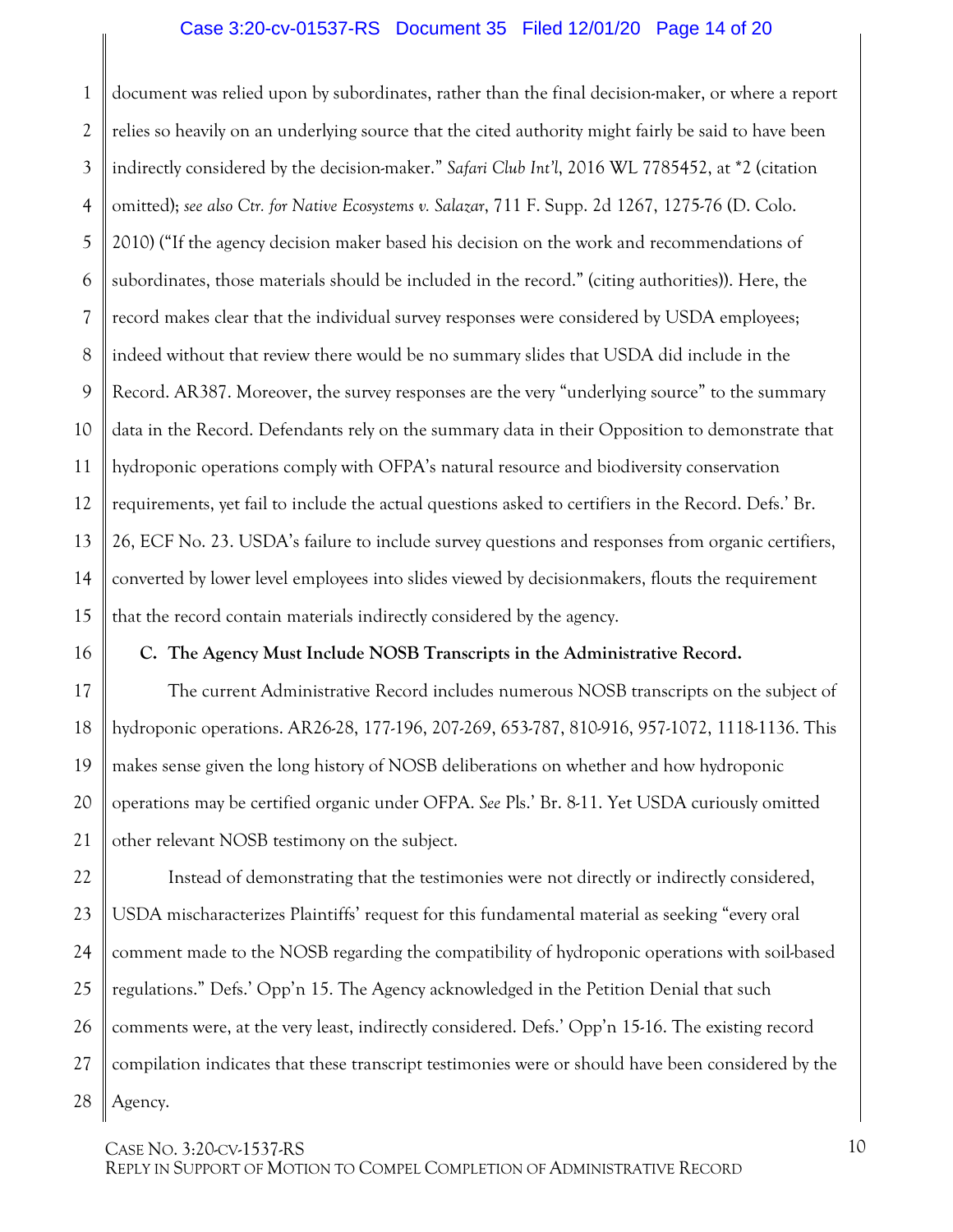#### <span id="page-13-2"></span><span id="page-13-1"></span>Case 3:20-cv-01537-RS Document 35 Filed 12/01/20 Page 14 of 20

1 2 3 4 5 6 7 8 9 10 11 12 13 14 15 document was relied upon by subordinates, rather than the final decision-maker, or where a report relies so heavily on an underlying source that the cited authority might fairly be said to have been indirectly considered by the decision-maker." *Safari Club Int'l*, 2016 WL 7785452, at \*2 (citation omitted); *see also Ctr. for Native Ecosystems v. Salazar*, 711 F. Supp. 2d 1267, 1275-76 (D. Colo. 2010) ("If the agency decision maker based his decision on the work and recommendations of subordinates, those materials should be included in the record." (citing authorities)). Here, the record makes clear that the individual survey responses were considered by USDA employees; indeed without that review there would be no summary slides that USDA did include in the Record. AR387. Moreover, the survey responses are the very "underlying source" to the summary data in the Record. Defendants rely on the summary data in their Opposition to demonstrate that hydroponic operations comply with OFPA's natural resource and biodiversity conservation requirements, yet fail to include the actual questions asked to certifiers in the Record. Defs.' Br. 26, ECF No. 23. USDA's failure to include survey questions and responses from organic certifiers, converted by lower level employees into slides viewed by decisionmakers, flouts the requirement that the record contain materials indirectly considered by the agency.

#### <span id="page-13-0"></span>**C. The Agency Must Include NOSB Transcripts in the Administrative Record.**

The current Administrative Record includes numerous NOSB transcripts on the subject of hydroponic operations. AR26-28, 177-196, 207-269, 653-787, 810-916, 957-1072, 1118-1136. This makes sense given the long history of NOSB deliberations on whether and how hydroponic operations may be certified organic under OFPA. *See* Pls.' Br. 8-11. Yet USDA curiously omitted other relevant NOSB testimony on the subject.

22 23 24 25 26 27 28 Instead of demonstrating that the testimonies were not directly or indirectly considered, USDA mischaracterizes Plaintiffs' request for this fundamental material as seeking "every oral comment made to the NOSB regarding the compatibility of hydroponic operations with soil-based regulations." Defs.' Opp'n 15. The Agency acknowledged in the Petition Denial that such comments were, at the very least, indirectly considered. Defs.' Opp'n 15-16. The existing record compilation indicates that these transcript testimonies were or should have been considered by the Agency.

CASE NO. 3:20-CV-1537-RS

16

17

18

19

20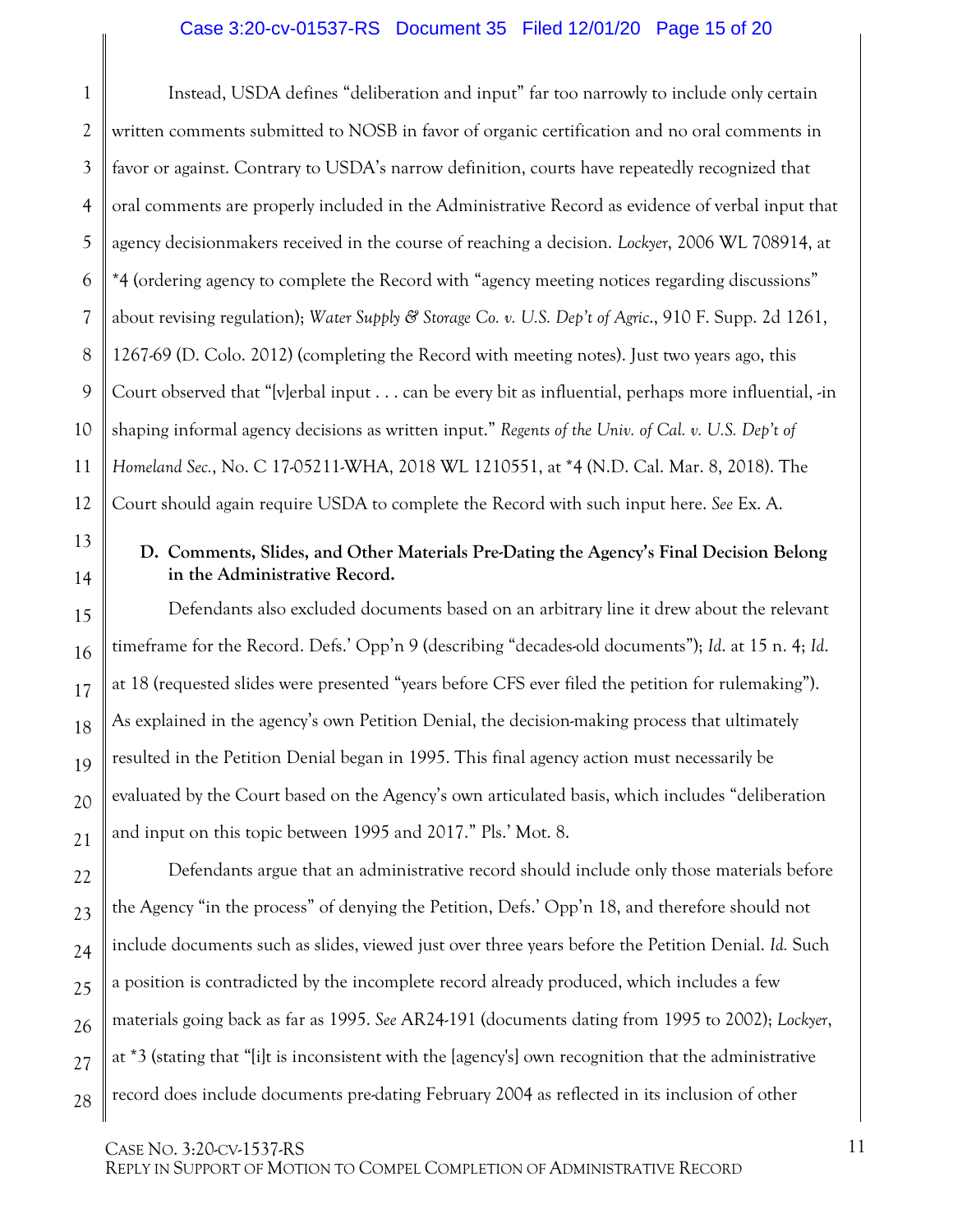#### <span id="page-14-3"></span><span id="page-14-1"></span>Case 3:20-cv-01537-RS Document 35 Filed 12/01/20 Page 15 of 20

1 2 3 4 5 6 7 8 9 10 11 12 Instead, USDA defines "deliberation and input" far too narrowly to include only certain written comments submitted to NOSB in favor of organic certification and no oral comments in favor or against. Contrary to USDA's narrow definition, courts have repeatedly recognized that oral comments are properly included in the Administrative Record as evidence of verbal input that agency decisionmakers received in the course of reaching a decision. *Lockyer*, 2006 WL 708914, at \*4 (ordering agency to complete the Record with "agency meeting notices regarding discussions" about revising regulation); *Water Supply & Storage Co. v. U.S. Dep't of Agric*., 910 F. Supp. 2d 1261, 1267-69 (D. Colo. 2012) (completing the Record with meeting notes). Just two years ago, this Court observed that "[v]erbal input . . . can be every bit as influential, perhaps more influential, -in shaping informal agency decisions as written input." *Regents of the Univ. of Cal. v. U.S. Dep't of Homeland Sec.*, No. C 17-05211-WHA, 2018 WL 1210551, at \*4 (N.D. Cal. Mar. 8, 2018). The Court should again require USDA to complete the Record with such input here. *See* Ex. A.

#### <span id="page-14-2"></span><span id="page-14-0"></span>**D. Comments, Slides, and Other Materials Pre-Dating the Agency's Final Decision Belong in the Administrative Record.**

Defendants also excluded documents based on an arbitrary line it drew about the relevant timeframe for the Record. Defs.' Opp'n 9 (describing "decades-old documents"); *Id*. at 15 n. 4; *Id*. at 18 (requested slides were presented "years before CFS ever filed the petition for rulemaking"). As explained in the agency's own Petition Denial, the decision-making process that ultimately resulted in the Petition Denial began in 1995. This final agency action must necessarily be evaluated by the Court based on the Agency's own articulated basis, which includes "deliberation and input on this topic between 1995 and 2017." Pls.' Mot. 8.

Defendants argue that an administrative record should include only those materials before the Agency "in the process" of denying the Petition, Defs.' Opp'n 18, and therefore should not include documents such as slides, viewed just over three years before the Petition Denial. *Id.* Such a position is contradicted by the incomplete record already produced, which includes a few materials going back as far as 1995. *See* AR24-191 (documents dating from 1995 to 2002); *Lockyer*, at \*3 (stating that "[i]t is inconsistent with the [agency's] own recognition that the administrative record does include documents pre-dating February 2004 as reflected in its inclusion of other

CASE NO. 3:20-CV-1537-RS

13

14

15

16

17

18

19

20

21

22

23

24

25

26

27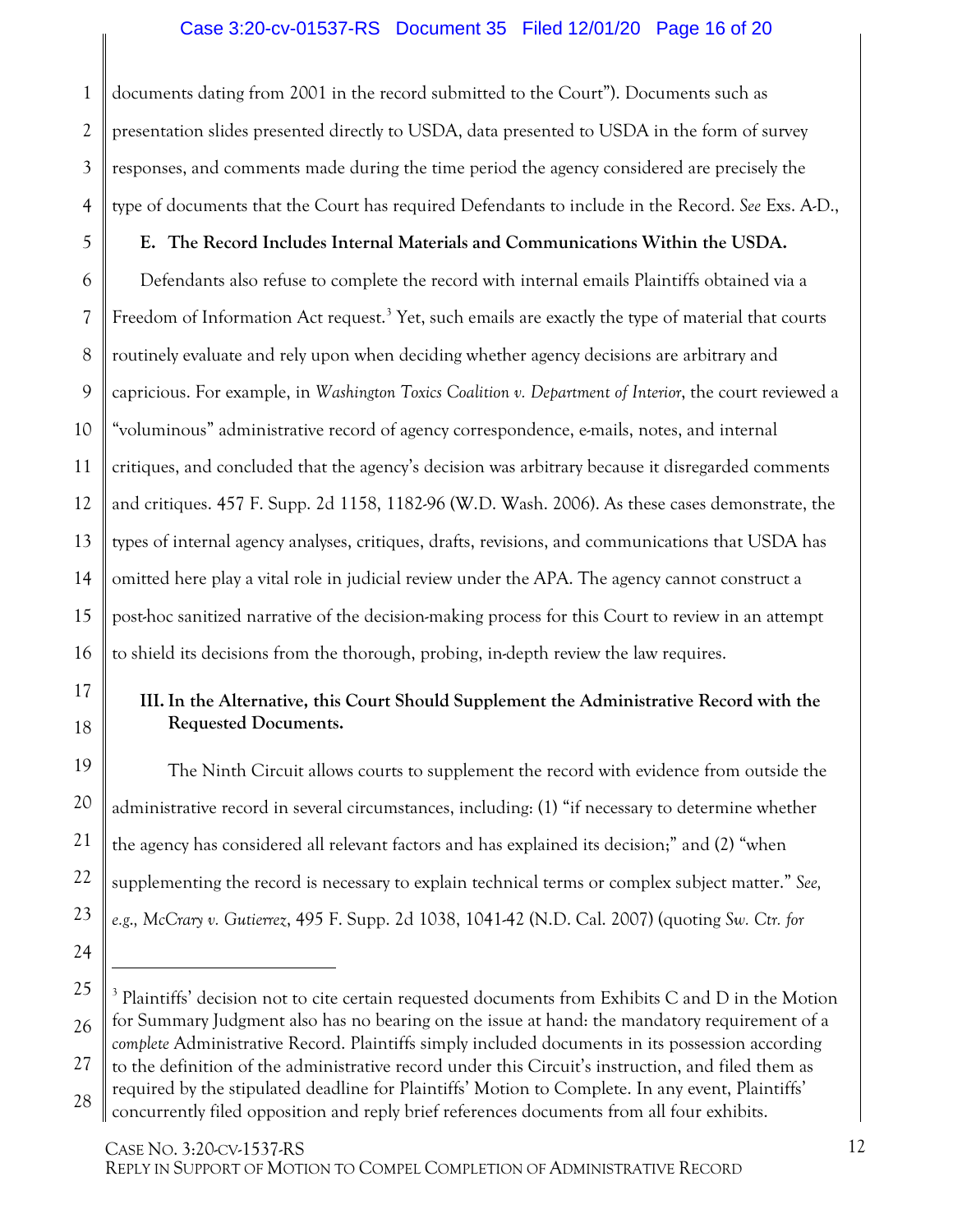#### <span id="page-15-0"></span>Case 3:20-cv-01537-RS Document 35 Filed 12/01/20 Page 16 of 20

1 2 3 4 documents dating from 2001 in the record submitted to the Court"). Documents such as presentation slides presented directly to USDA, data presented to USDA in the form of survey responses, and comments made during the time period the agency considered are precisely the type of documents that the Court has required Defendants to include in the Record. *See* Exs. A-D.,

## **E. The Record Includes Internal Materials and Communications Within the USDA.**

5

17

18

19

20

21

22

23

24

<span id="page-15-2"></span> $\overline{a}$ 

6 7 8 9 10 11 12 13 14 15 16 Defendants also refuse to complete the record with internal emails Plaintiffs obtained via a Freedom of Information Act request.<sup>[3](#page-15-3)</sup> Yet, such emails are exactly the type of material that courts routinely evaluate and rely upon when deciding whether agency decisions are arbitrary and capricious. For example, in *Washington Toxics Coalition v. Department of Interior*, the court reviewed a "voluminous" administrative record of agency correspondence, e-mails, notes, and internal critiques, and concluded that the agency's decision was arbitrary because it disregarded comments and critiques. 457 F. Supp. 2d 1158, 1182-96 (W.D. Wash. 2006). As these cases demonstrate, the types of internal agency analyses, critiques, drafts, revisions, and communications that USDA has omitted here play a vital role in judicial review under the APA. The agency cannot construct a post-hoc sanitized narrative of the decision-making process for this Court to review in an attempt to shield its decisions from the thorough, probing, in-depth review the law requires.

### <span id="page-15-1"></span>**III. In the Alternative, this Court Should Supplement the Administrative Record with the Requested Documents.**

The Ninth Circuit allows courts to supplement the record with evidence from outside the administrative record in several circumstances, including: (1) "if necessary to determine whether the agency has considered all relevant factors and has explained its decision;" and (2) "when supplementing the record is necessary to explain technical terms or complex subject matter." *See, e.g*.*, McCrary v. Gutierrez*, 495 F. Supp. 2d 1038, 1041-42 (N.D. Cal. 2007) (quoting *Sw. Ctr. for* 

concurrently filed opposition and reply brief references documents from all four exhibits.

<span id="page-15-3"></span><sup>25</sup> 26 27 28 <sup>3</sup> Plaintiffs' decision not to cite certain requested documents from Exhibits C and D in the Motion for Summary Judgment also has no bearing on the issue at hand: the mandatory requirement of a *complete* Administrative Record. Plaintiffs simply included documents in its possession according to the definition of the administrative record under this Circuit's instruction, and filed them as required by the stipulated deadline for Plaintiffs' Motion to Complete. In any event, Plaintiffs'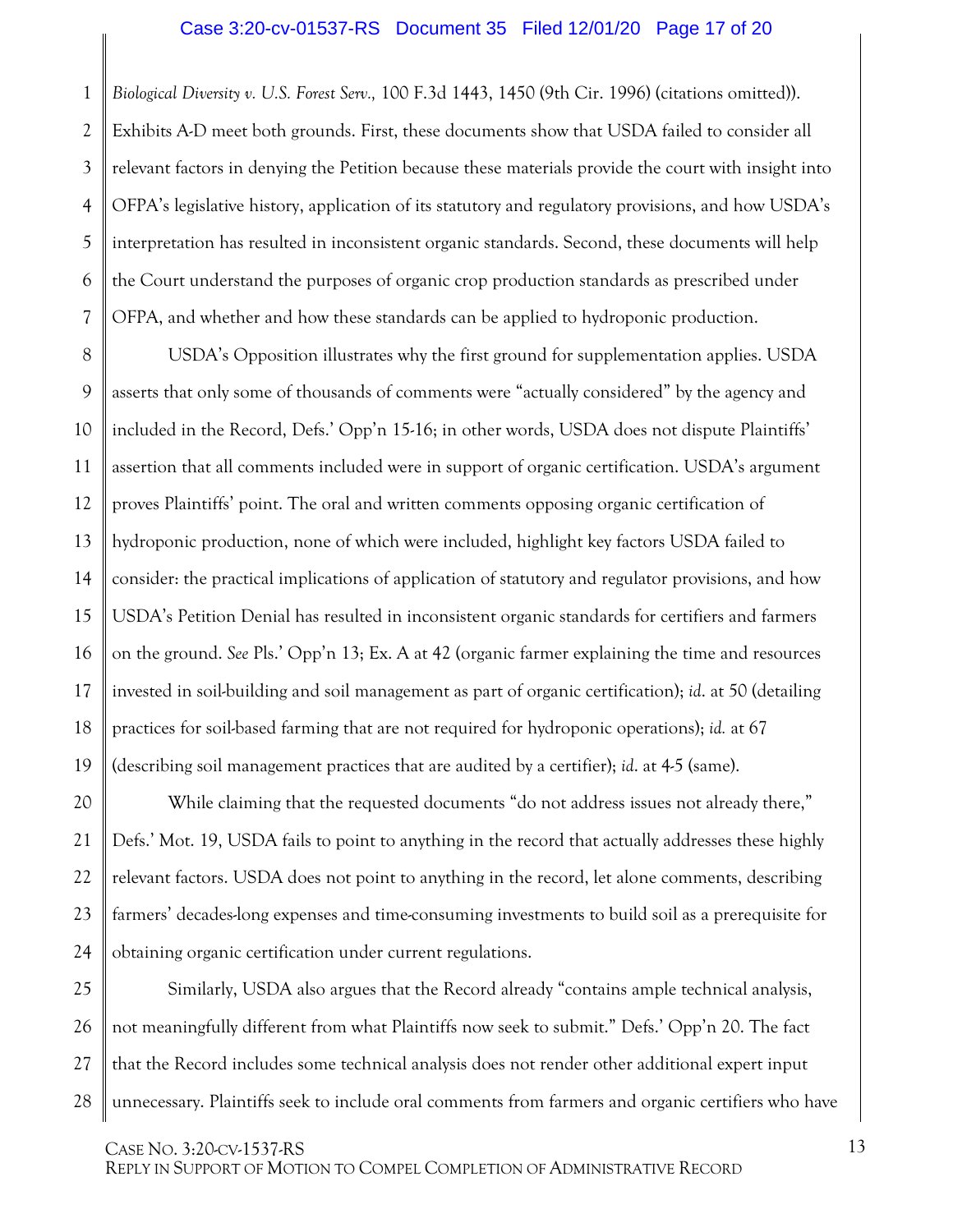#### Case 3:20-cv-01537-RS Document 35 Filed 12/01/20 Page 17 of 20

1 2 3 4 5 6 7 *Biological Diversity v. U.S. Forest Serv.,* 100 F.3d 1443, 1450 (9th Cir. 1996) (citations omitted)). Exhibits A-D meet both grounds. First, these documents show that USDA failed to consider all relevant factors in denying the Petition because these materials provide the court with insight into OFPA's legislative history, application of its statutory and regulatory provisions, and how USDA's interpretation has resulted in inconsistent organic standards. Second, these documents will help the Court understand the purposes of organic crop production standards as prescribed under OFPA, and whether and how these standards can be applied to hydroponic production.

8 9 10 11 12 13 14 15 16 17 18 19 USDA's Opposition illustrates why the first ground for supplementation applies. USDA asserts that only some of thousands of comments were "actually considered" by the agency and included in the Record, Defs.' Opp'n 15-16; in other words, USDA does not dispute Plaintiffs' assertion that all comments included were in support of organic certification. USDA's argument proves Plaintiffs' point. The oral and written comments opposing organic certification of hydroponic production, none of which were included, highlight key factors USDA failed to consider: the practical implications of application of statutory and regulator provisions, and how USDA's Petition Denial has resulted in inconsistent organic standards for certifiers and farmers on the ground. *See* Pls.' Opp'n 13; Ex. A at 42 (organic farmer explaining the time and resources invested in soil-building and soil management as part of organic certification); *id*. at 50 (detailing practices for soil-based farming that are not required for hydroponic operations); *id.* at 67 (describing soil management practices that are audited by a certifier); *id*. at 4-5 (same).

20 21 22 23 24 While claiming that the requested documents "do not address issues not already there," Defs.' Mot. 19, USDA fails to point to anything in the record that actually addresses these highly relevant factors. USDA does not point to anything in the record, let alone comments, describing farmers' decades-long expenses and time-consuming investments to build soil as a prerequisite for obtaining organic certification under current regulations.

25 26 27 28 Similarly, USDA also argues that the Record already "contains ample technical analysis, not meaningfully different from what Plaintiffs now seek to submit." Defs.' Opp'n 20. The fact that the Record includes some technical analysis does not render other additional expert input unnecessary. Plaintiffs seek to include oral comments from farmers and organic certifiers who have

CASE NO. 3:20-CV-1537-RS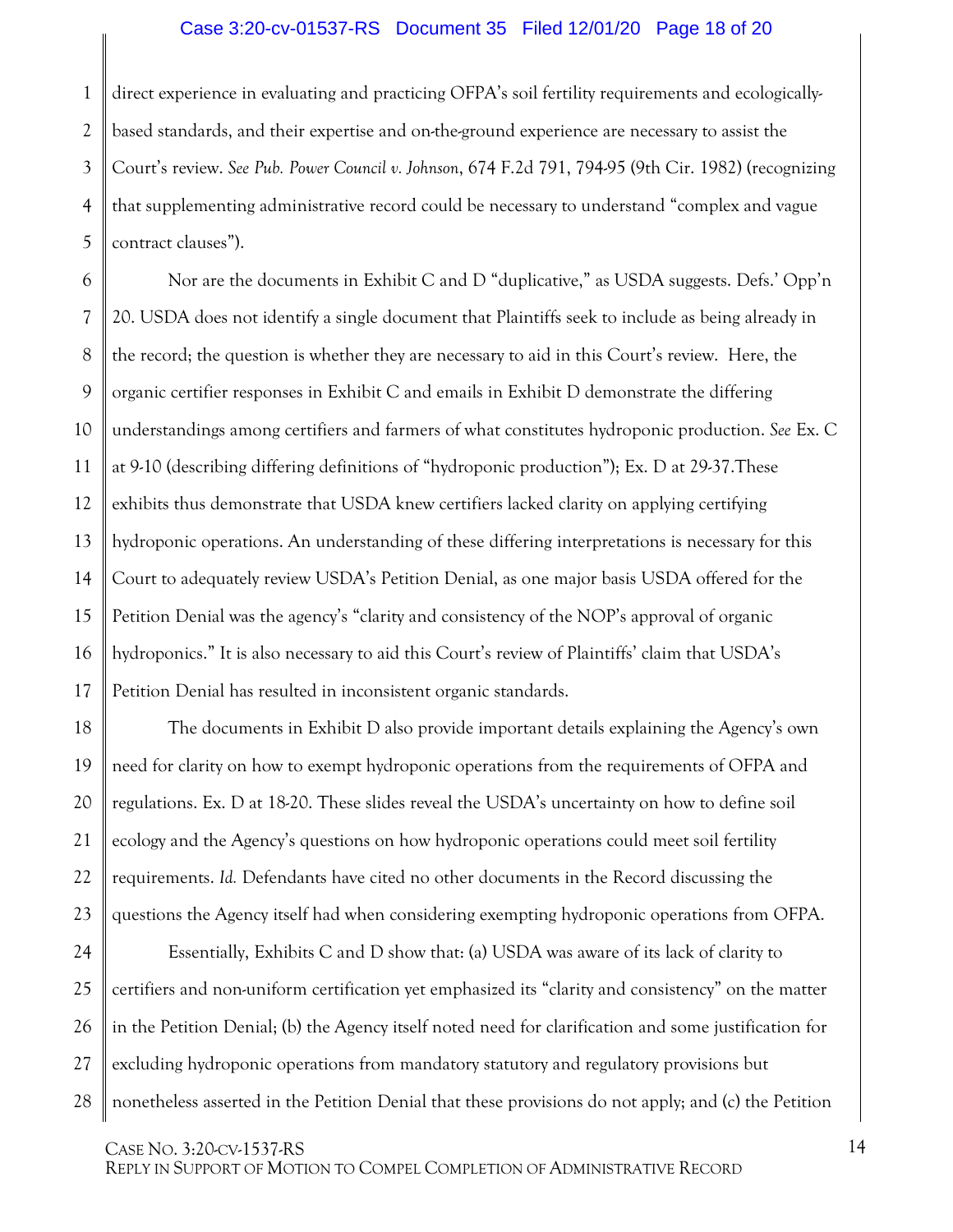#### <span id="page-17-0"></span>Case 3:20-cv-01537-RS Document 35 Filed 12/01/20 Page 18 of 20

1 2 3 4 5 direct experience in evaluating and practicing OFPA's soil fertility requirements and ecologicallybased standards, and their expertise and on-the-ground experience are necessary to assist the Court's review. *See Pub. Power Council v. Johnson*[, 674 F.2d 791, 794-95 \(9th Cir. 1982\)](https://1.next.westlaw.com/Link/Document/FullText?findType=Y&serNum=1982117071&pubNum=0000350&originatingDoc=I95e2c1a0623711e99403c5c1b41b53c0&refType=RP&fi=co_pp_sp_350_794&originationContext=document&transitionType=DocumentItem&contextData=(sc.RelatedInfo)#co_pp_sp_350_794) (recognizing that supplementing administrative record could be necessary to understand "complex and vague contract clauses").

6 7 8 9 10 11 12 13 14 15 16 17 Nor are the documents in Exhibit C and D "duplicative," as USDA suggests. Defs.' Opp'n 20. USDA does not identify a single document that Plaintiffs seek to include as being already in the record; the question is whether they are necessary to aid in this Court's review. Here, the organic certifier responses in Exhibit C and emails in Exhibit D demonstrate the differing understandings among certifiers and farmers of what constitutes hydroponic production. *See* Ex. C at 9-10 (describing differing definitions of "hydroponic production"); Ex. D at 29-37.These exhibits thus demonstrate that USDA knew certifiers lacked clarity on applying certifying hydroponic operations. An understanding of these differing interpretations is necessary for this Court to adequately review USDA's Petition Denial, as one major basis USDA offered for the Petition Denial was the agency's "clarity and consistency of the NOP's approval of organic hydroponics." It is also necessary to aid this Court's review of Plaintiffs' claim that USDA's Petition Denial has resulted in inconsistent organic standards.

18 19 20 21 22 23 The documents in Exhibit D also provide important details explaining the Agency's own need for clarity on how to exempt hydroponic operations from the requirements of OFPA and regulations. Ex. D at 18-20. These slides reveal the USDA's uncertainty on how to define soil ecology and the Agency's questions on how hydroponic operations could meet soil fertility requirements. *Id.* Defendants have cited no other documents in the Record discussing the questions the Agency itself had when considering exempting hydroponic operations from OFPA.

24 25 26 27 28 Essentially, Exhibits C and D show that: (a) USDA was aware of its lack of clarity to certifiers and non-uniform certification yet emphasized its "clarity and consistency" on the matter in the Petition Denial; (b) the Agency itself noted need for clarification and some justification for excluding hydroponic operations from mandatory statutory and regulatory provisions but nonetheless asserted in the Petition Denial that these provisions do not apply; and (c) the Petition

CASE NO. 3:20-CV-1537-RS REPLY IN SUPPORT OF MOTION TO COMPEL COMPLETION OF ADMINISTRATIVE RECORD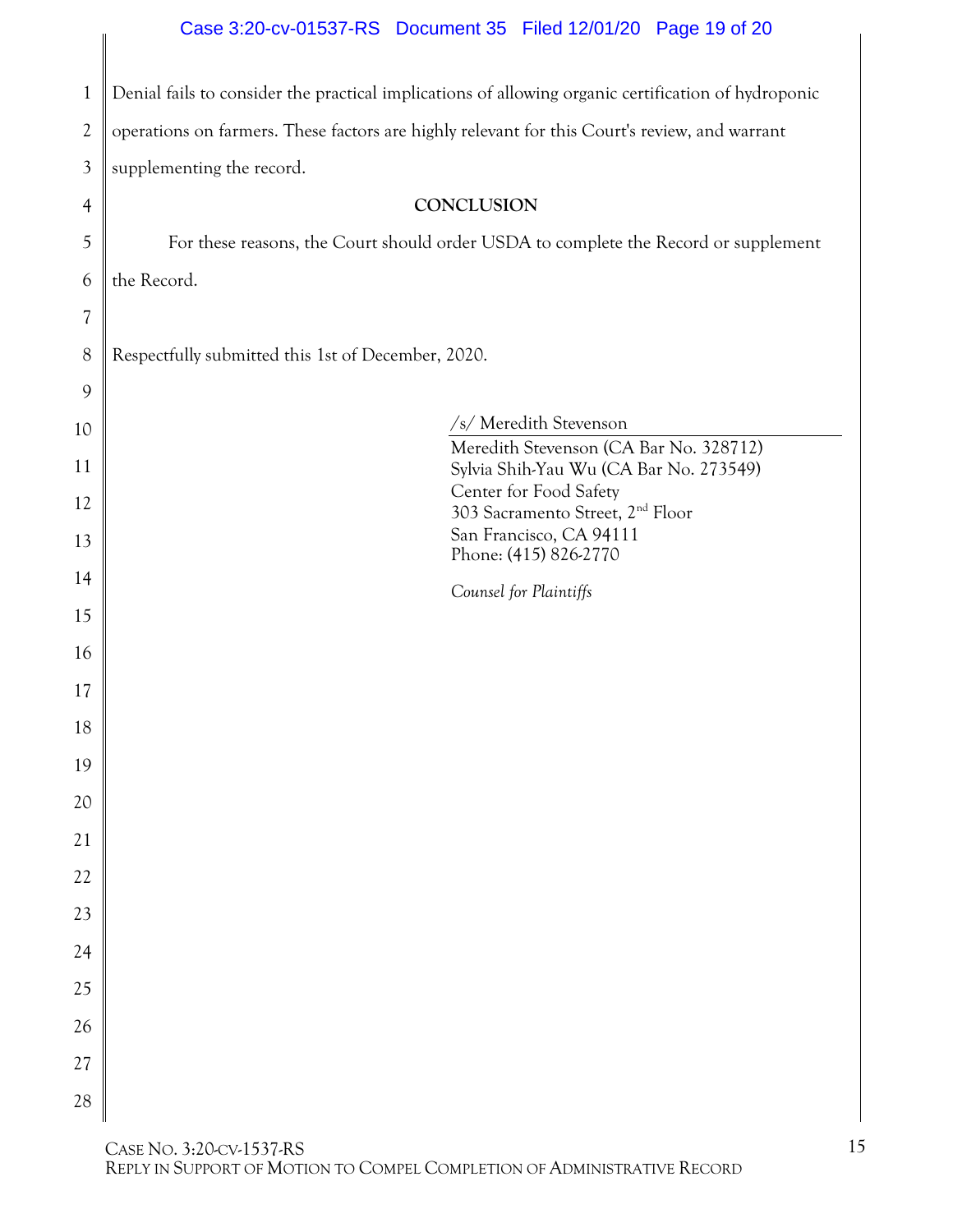## <span id="page-18-0"></span>Case 3:20-cv-01537-RS Document 35 Filed 12/01/20 Page 19 of 20

 $\biggl\|$ 

| $\mathbf{1}$   | Denial fails to consider the practical implications of allowing organic certification of hydroponic |  |  |  |  |  |
|----------------|-----------------------------------------------------------------------------------------------------|--|--|--|--|--|
| $\overline{2}$ | operations on farmers. These factors are highly relevant for this Court's review, and warrant       |  |  |  |  |  |
| 3              | supplementing the record.                                                                           |  |  |  |  |  |
| $\overline{4}$ | CONCLUSION                                                                                          |  |  |  |  |  |
| 5              | For these reasons, the Court should order USDA to complete the Record or supplement                 |  |  |  |  |  |
| 6              | the Record.                                                                                         |  |  |  |  |  |
| 7              |                                                                                                     |  |  |  |  |  |
| 8              | Respectfully submitted this 1st of December, 2020.                                                  |  |  |  |  |  |
| 9              |                                                                                                     |  |  |  |  |  |
| 10             | /s/ Meredith Stevenson                                                                              |  |  |  |  |  |
| 11             | Meredith Stevenson (CA Bar No. 328712)<br>Sylvia Shih-Yau Wu (CA Bar No. 273549)                    |  |  |  |  |  |
| 12             | Center for Food Safety<br>303 Sacramento Street, 2 <sup>nd</sup> Floor                              |  |  |  |  |  |
| 13             | San Francisco, CA 94111<br>Phone: (415) 826-2770                                                    |  |  |  |  |  |
| 14             | Counsel for Plaintiffs                                                                              |  |  |  |  |  |
| 15             |                                                                                                     |  |  |  |  |  |
| 16             |                                                                                                     |  |  |  |  |  |
| 17             |                                                                                                     |  |  |  |  |  |
| 18             |                                                                                                     |  |  |  |  |  |
| $19\,$         |                                                                                                     |  |  |  |  |  |
| 20             |                                                                                                     |  |  |  |  |  |
| 21             |                                                                                                     |  |  |  |  |  |
| 22             |                                                                                                     |  |  |  |  |  |
| 23             |                                                                                                     |  |  |  |  |  |
| 24             |                                                                                                     |  |  |  |  |  |
| 25             |                                                                                                     |  |  |  |  |  |
| 26             |                                                                                                     |  |  |  |  |  |
| 27             |                                                                                                     |  |  |  |  |  |
| 28             |                                                                                                     |  |  |  |  |  |